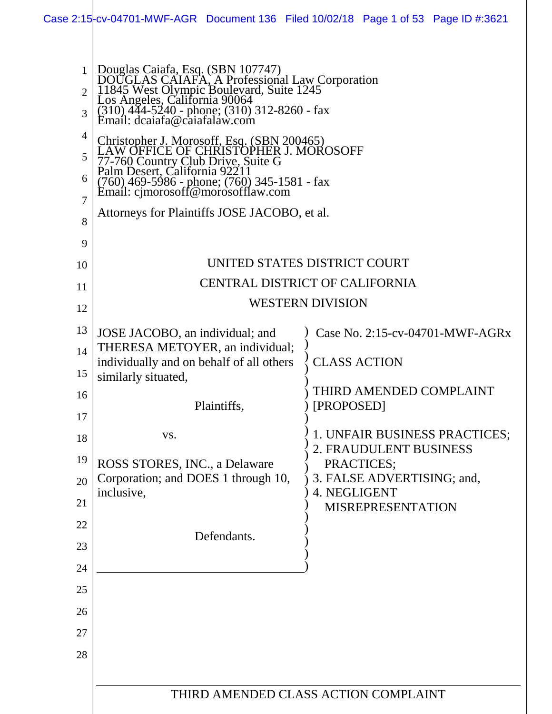|                                                                                                     |                                                                                                                                                                                                                                                                                                                                                                                                                                                                                                                                                    | Case 2:15 $\frac{1}{2}$ Cv-04701-MWF-AGR Document 136 Filed 10/02/18 Page 1 of 53 Page ID #:3621 |
|-----------------------------------------------------------------------------------------------------|----------------------------------------------------------------------------------------------------------------------------------------------------------------------------------------------------------------------------------------------------------------------------------------------------------------------------------------------------------------------------------------------------------------------------------------------------------------------------------------------------------------------------------------------------|--------------------------------------------------------------------------------------------------|
| $\mathbf{1}$<br>$\mathcal{D}_{\mathcal{L}}$<br>3<br>$\overline{4}$<br>5<br>6<br>$\overline{7}$<br>8 | Douglas Caiafa, Esq. (SBN 107747)<br>DOUGLAS CAIAFA, A Professional Law Corporation<br>11845 West Olympic Boulevard, Suite 1245<br>Los Angeles, California 90064<br>(310) 444-5240 - phone; (310) 312-8260 - fax<br>Email: dcaiafa@caiafalaw.<br>Christopher J. Morosoff, Esq. (SBN 200465)<br>W OFFICE OF CHRISTOPHER J. MOROSOFF<br>77-760 Country Club Drive, Suite G<br>Palm Desert, California 92211<br>$(760)$ 469-5986 - phone; $(760)$ 345-1581 - fax<br>Email: cjmorosoff@morosofflaw.com<br>Attorneys for Plaintiffs JOSE JACOBO, et al. |                                                                                                  |
| 9                                                                                                   |                                                                                                                                                                                                                                                                                                                                                                                                                                                                                                                                                    |                                                                                                  |
| 10                                                                                                  |                                                                                                                                                                                                                                                                                                                                                                                                                                                                                                                                                    | UNITED STATES DISTRICT COURT                                                                     |
| 11                                                                                                  |                                                                                                                                                                                                                                                                                                                                                                                                                                                                                                                                                    | CENTRAL DISTRICT OF CALIFORNIA                                                                   |
| 12                                                                                                  |                                                                                                                                                                                                                                                                                                                                                                                                                                                                                                                                                    | <b>WESTERN DIVISION</b>                                                                          |
| 13                                                                                                  | JOSE JACOBO, an individual; and                                                                                                                                                                                                                                                                                                                                                                                                                                                                                                                    | Case No. 2:15-cv-04701-MWF-AGRx                                                                  |
| 14                                                                                                  | THERESA METOYER, an individual;                                                                                                                                                                                                                                                                                                                                                                                                                                                                                                                    |                                                                                                  |
| 15                                                                                                  | individually and on behalf of all others<br>similarly situated,                                                                                                                                                                                                                                                                                                                                                                                                                                                                                    | <b>CLASS ACTION</b>                                                                              |
| 16                                                                                                  |                                                                                                                                                                                                                                                                                                                                                                                                                                                                                                                                                    | THIRD AMENDED COMPLAINT                                                                          |
| 17                                                                                                  | Plaintiffs,                                                                                                                                                                                                                                                                                                                                                                                                                                                                                                                                        | [PROPOSED]                                                                                       |
| 18                                                                                                  | VS.                                                                                                                                                                                                                                                                                                                                                                                                                                                                                                                                                | 1. UNFAIR BUSINESS PRACTICES;<br>2. FRAUDULENT BUSINESS                                          |
| 19                                                                                                  | ROSS STORES, INC., a Delaware                                                                                                                                                                                                                                                                                                                                                                                                                                                                                                                      | PRACTICES;                                                                                       |
| 20                                                                                                  | Corporation; and DOES 1 through 10,<br>inclusive,                                                                                                                                                                                                                                                                                                                                                                                                                                                                                                  | 3. FALSE ADVERTISING; and,<br>4. NEGLIGENT                                                       |
| 21                                                                                                  |                                                                                                                                                                                                                                                                                                                                                                                                                                                                                                                                                    | <b>MISREPRESENTATION</b>                                                                         |
| 22                                                                                                  | Defendants.                                                                                                                                                                                                                                                                                                                                                                                                                                                                                                                                        |                                                                                                  |
| 23                                                                                                  |                                                                                                                                                                                                                                                                                                                                                                                                                                                                                                                                                    |                                                                                                  |
| 24                                                                                                  |                                                                                                                                                                                                                                                                                                                                                                                                                                                                                                                                                    |                                                                                                  |
| 25                                                                                                  |                                                                                                                                                                                                                                                                                                                                                                                                                                                                                                                                                    |                                                                                                  |
| 26                                                                                                  |                                                                                                                                                                                                                                                                                                                                                                                                                                                                                                                                                    |                                                                                                  |
| 27                                                                                                  |                                                                                                                                                                                                                                                                                                                                                                                                                                                                                                                                                    |                                                                                                  |
| 28                                                                                                  |                                                                                                                                                                                                                                                                                                                                                                                                                                                                                                                                                    |                                                                                                  |
|                                                                                                     |                                                                                                                                                                                                                                                                                                                                                                                                                                                                                                                                                    |                                                                                                  |
|                                                                                                     |                                                                                                                                                                                                                                                                                                                                                                                                                                                                                                                                                    | THIRD AMENDED CLASS ACTION COMPLAINT                                                             |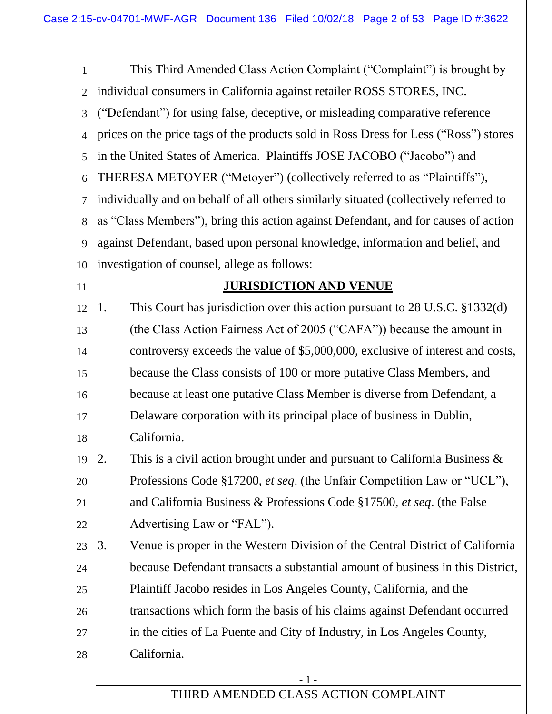| 1              | This Third Amended Class Action Complaint ("Complaint") is brought by                   |
|----------------|-----------------------------------------------------------------------------------------|
| $\overline{2}$ | individual consumers in California against retailer ROSS STORES, INC.                   |
| 3              | ("Defendant") for using false, deceptive, or misleading comparative reference           |
| 4              | prices on the price tags of the products sold in Ross Dress for Less ("Ross") stores    |
| 5              | in the United States of America. Plaintiffs JOSE JACOBO ("Jacobo") and                  |
| 6              | THERESA METOYER ("Metoyer") (collectively referred to as "Plaintiffs"),                 |
| 7              | individually and on behalf of all others similarly situated (collectively referred to   |
| 8              | as "Class Members"), bring this action against Defendant, and for causes of action      |
| 9              | against Defendant, based upon personal knowledge, information and belief, and           |
| 10             | investigation of counsel, allege as follows:                                            |
| 11             | <b>JURISDICTION AND VENUE</b>                                                           |
| 12             | This Court has jurisdiction over this action pursuant to $28$ U.S.C. $\S 1332(d)$<br>1. |
| 13             | (the Class Action Fairness Act of 2005 ("CAFA")) because the amount in                  |
| 14             | controversy exceeds the value of \$5,000,000, exclusive of interest and costs,          |
| 15             | because the Class consists of 100 or more putative Class Members, and                   |
| 16             | because at least one putative Class Member is diverse from Defendant, a                 |
| 17             | Delaware corporation with its principal place of business in Dublin,                    |
| 18             | California.                                                                             |
| 19  2          | This is a civil action brought under and pursuant to California Business $\&$           |
| 20             | Professions Code §17200, et seq. (the Unfair Competition Law or "UCL"),                 |
| 21             | and California Business & Professions Code §17500, et seq. (the False                   |
| 22             | Advertising Law or "FAL").                                                              |
| 23             | Venue is proper in the Western Division of the Central District of California<br>3.     |
| 24             | because Defendant transacts a substantial amount of business in this District,          |
| 25             | Plaintiff Jacobo resides in Los Angeles County, California, and the                     |
| 26             | transactions which form the basis of his claims against Defendant occurred              |
| 27             | in the cities of La Puente and City of Industry, in Los Angeles County,                 |
| 28             | California.                                                                             |
|                | $-1-$                                                                                   |
|                | THIRD AMENDED CLASS ACTION COMPLAINT                                                    |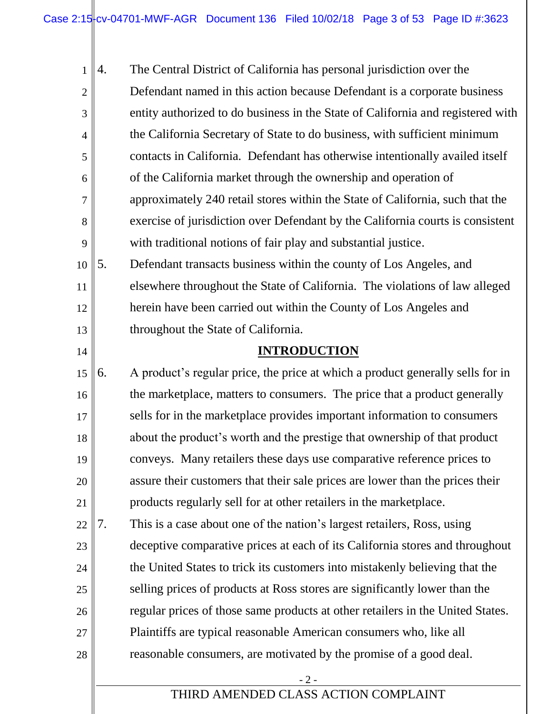- 2 - THIRD AMENDED CLASS ACTION COMPLAINT 1 2 3 4 5 6 7 8 9 10 11 12 13 14 15 16 17 18 19 20 21 22 23 24 25 26 27 28 4. The Central District of California has personal jurisdiction over the Defendant named in this action because Defendant is a corporate business entity authorized to do business in the State of California and registered with the California Secretary of State to do business, with sufficient minimum contacts in California. Defendant has otherwise intentionally availed itself of the California market through the ownership and operation of approximately 240 retail stores within the State of California, such that the exercise of jurisdiction over Defendant by the California courts is consistent with traditional notions of fair play and substantial justice. 5. Defendant transacts business within the county of Los Angeles, and elsewhere throughout the State of California. The violations of law alleged herein have been carried out within the County of Los Angeles and throughout the State of California. **INTRODUCTION** 6. A product's regular price, the price at which a product generally sells for in the marketplace, matters to consumers. The price that a product generally sells for in the marketplace provides important information to consumers about the product's worth and the prestige that ownership of that product conveys. Many retailers these days use comparative reference prices to assure their customers that their sale prices are lower than the prices their products regularly sell for at other retailers in the marketplace. 7. This is a case about one of the nation's largest retailers, Ross, using deceptive comparative prices at each of its California stores and throughout the United States to trick its customers into mistakenly believing that the selling prices of products at Ross stores are significantly lower than the regular prices of those same products at other retailers in the United States. Plaintiffs are typical reasonable American consumers who, like all reasonable consumers, are motivated by the promise of a good deal.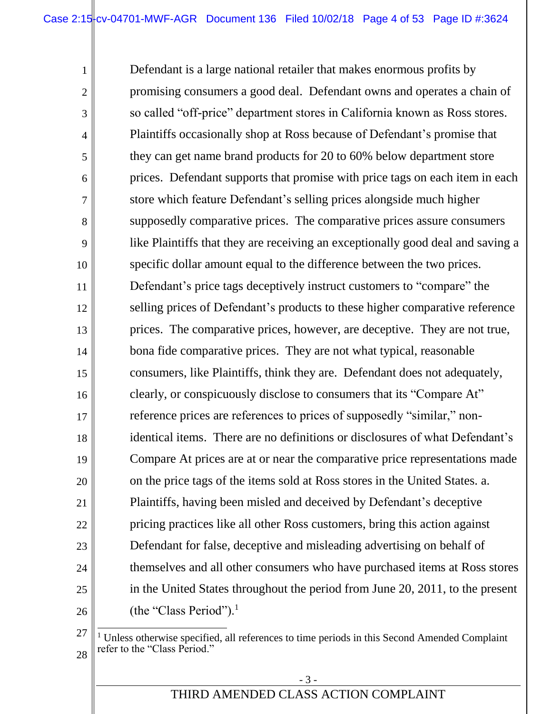Defendant is a large national retailer that makes enormous profits by promising consumers a good deal. Defendant owns and operates a chain of so called "off-price" department stores in California known as Ross stores. Plaintiffs occasionally shop at Ross because of Defendant's promise that they can get name brand products for 20 to 60% below department store prices. Defendant supports that promise with price tags on each item in each store which feature Defendant's selling prices alongside much higher supposedly comparative prices. The comparative prices assure consumers like Plaintiffs that they are receiving an exceptionally good deal and saving a specific dollar amount equal to the difference between the two prices. Defendant's price tags deceptively instruct customers to "compare" the selling prices of Defendant's products to these higher comparative reference prices. The comparative prices, however, are deceptive. They are not true, bona fide comparative prices. They are not what typical, reasonable consumers, like Plaintiffs, think they are. Defendant does not adequately, clearly, or conspicuously disclose to consumers that its "Compare At" reference prices are references to prices of supposedly "similar," nonidentical items. There are no definitions or disclosures of what Defendant's Compare At prices are at or near the comparative price representations made on the price tags of the items sold at Ross stores in the United States. a. Plaintiffs, having been misled and deceived by Defendant's deceptive pricing practices like all other Ross customers, bring this action against Defendant for false, deceptive and misleading advertising on behalf of themselves and all other consumers who have purchased items at Ross stores in the United States throughout the period from June 20, 2011, to the present (the "Class Period").<sup>1</sup>

1

2

3

4

5

6

7

8

9

10

11

12

13

14

15

16

17

18

19

20

21

22

23

24

25

26

<sup>27</sup>

<sup>28</sup>  $\overline{a}$ <sup>1</sup> Unless otherwise specified, all references to time periods in this Second Amended Complaint refer to the "Class Period."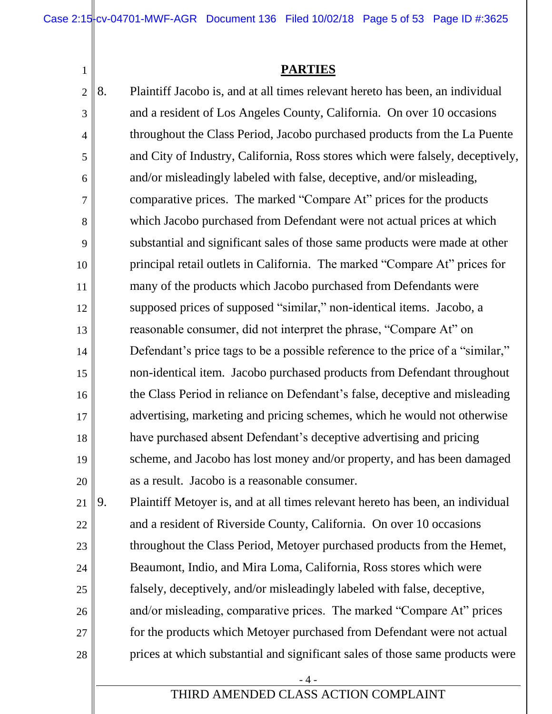Case  $2:15\frac{1}{1}$  cv-04701-MWF-AGR Document 136 Filed 10/02/18 Page 5 of 53 Page ID #:3625

#### **PARTIES**

2

1

3 4 5 6 7 8 9 10 11 12 13 14 15 16 17 18 19 20 8. Plaintiff Jacobo is, and at all times relevant hereto has been, an individual and a resident of Los Angeles County, California. On over 10 occasions throughout the Class Period, Jacobo purchased products from the La Puente and City of Industry, California, Ross stores which were falsely, deceptively, and/or misleadingly labeled with false, deceptive, and/or misleading, comparative prices. The marked "Compare At" prices for the products which Jacobo purchased from Defendant were not actual prices at which substantial and significant sales of those same products were made at other principal retail outlets in California. The marked "Compare At" prices for many of the products which Jacobo purchased from Defendants were supposed prices of supposed "similar," non-identical items. Jacobo, a reasonable consumer, did not interpret the phrase, "Compare At" on Defendant's price tags to be a possible reference to the price of a "similar," non-identical item. Jacobo purchased products from Defendant throughout the Class Period in reliance on Defendant's false, deceptive and misleading advertising, marketing and pricing schemes, which he would not otherwise have purchased absent Defendant's deceptive advertising and pricing scheme, and Jacobo has lost money and/or property, and has been damaged as a result. Jacobo is a reasonable consumer.

21 22 23 24 25 26 27 28 9. Plaintiff Metoyer is, and at all times relevant hereto has been, an individual and a resident of Riverside County, California. On over 10 occasions throughout the Class Period, Metoyer purchased products from the Hemet, Beaumont, Indio, and Mira Loma, California, Ross stores which were falsely, deceptively, and/or misleadingly labeled with false, deceptive, and/or misleading, comparative prices. The marked "Compare At" prices for the products which Metoyer purchased from Defendant were not actual prices at which substantial and significant sales of those same products were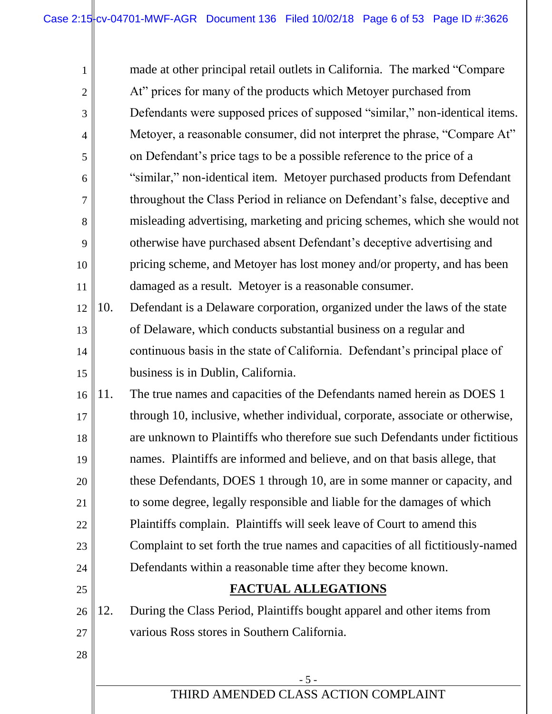1 2 3 4 5 6 7 8 9 10 11 12 13 14 15 16 made at other principal retail outlets in California. The marked "Compare At" prices for many of the products which Metoyer purchased from Defendants were supposed prices of supposed "similar," non-identical items. Metoyer, a reasonable consumer, did not interpret the phrase, "Compare At" on Defendant's price tags to be a possible reference to the price of a "similar," non-identical item. Metoyer purchased products from Defendant throughout the Class Period in reliance on Defendant's false, deceptive and misleading advertising, marketing and pricing schemes, which she would not otherwise have purchased absent Defendant's deceptive advertising and pricing scheme, and Metoyer has lost money and/or property, and has been damaged as a result. Metoyer is a reasonable consumer. 10. Defendant is a Delaware corporation, organized under the laws of the state of Delaware, which conducts substantial business on a regular and continuous basis in the state of California. Defendant's principal place of business is in Dublin, California. 11. The true names and capacities of the Defendants named herein as DOES 1

17 18 19 20 21 22 23 24 through 10, inclusive, whether individual, corporate, associate or otherwise, are unknown to Plaintiffs who therefore sue such Defendants under fictitious names. Plaintiffs are informed and believe, and on that basis allege, that these Defendants, DOES 1 through 10, are in some manner or capacity, and to some degree, legally responsible and liable for the damages of which Plaintiffs complain. Plaintiffs will seek leave of Court to amend this Complaint to set forth the true names and capacities of all fictitiously-named Defendants within a reasonable time after they become known.

25

28

# **FACTUAL ALLEGATIONS**

26 27 12. During the Class Period, Plaintiffs bought apparel and other items from various Ross stores in Southern California.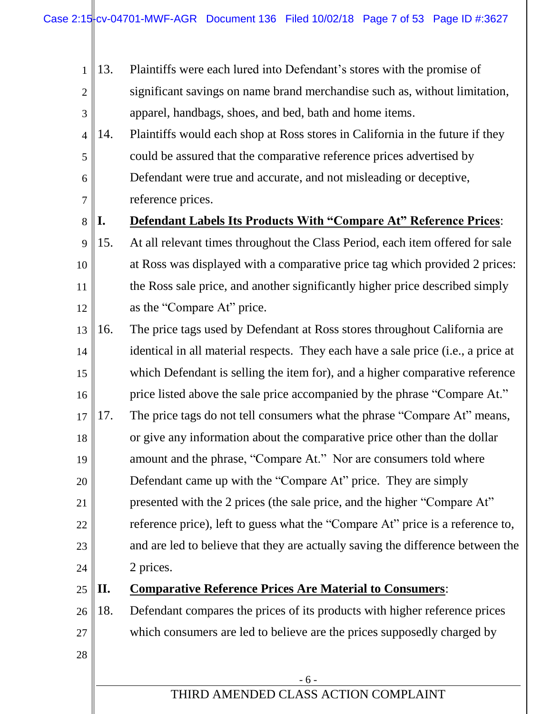- 1 2 3 4 5 6 7 8 9 10 11 12 13 14 15 16 17 18 19 20 21 13. Plaintiffs were each lured into Defendant's stores with the promise of significant savings on name brand merchandise such as, without limitation, apparel, handbags, shoes, and bed, bath and home items. 14. Plaintiffs would each shop at Ross stores in California in the future if they could be assured that the comparative reference prices advertised by Defendant were true and accurate, and not misleading or deceptive, reference prices. **I. Defendant Labels Its Products With "Compare At" Reference Prices**: 15. At all relevant times throughout the Class Period, each item offered for sale at Ross was displayed with a comparative price tag which provided 2 prices: the Ross sale price, and another significantly higher price described simply as the "Compare At" price. 16. The price tags used by Defendant at Ross stores throughout California are identical in all material respects. They each have a sale price (i.e., a price at which Defendant is selling the item for), and a higher comparative reference price listed above the sale price accompanied by the phrase "Compare At." 17. The price tags do not tell consumers what the phrase "Compare At" means, or give any information about the comparative price other than the dollar amount and the phrase, "Compare At." Nor are consumers told where Defendant came up with the "Compare At" price. They are simply presented with the 2 prices (the sale price, and the higher "Compare At"
- 22 23 24 reference price), left to guess what the "Compare At" price is a reference to, and are led to believe that they are actually saving the difference between the 2 prices.
- 25

28

# **II. Comparative Reference Prices Are Material to Consumers**:

26 27 18. Defendant compares the prices of its products with higher reference prices which consumers are led to believe are the prices supposedly charged by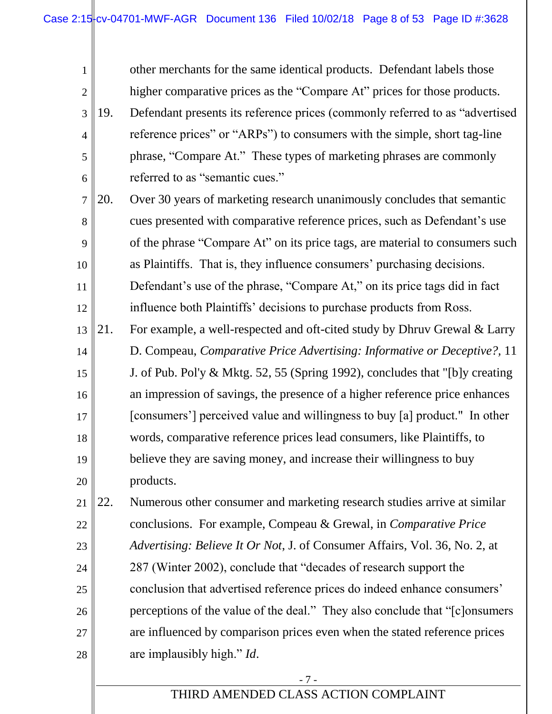1 2 3 4 5 6 7 8 9 10 11 12 13 14 15 16 17 18 19 20 21 22 23 24 25 other merchants for the same identical products. Defendant labels those higher comparative prices as the "Compare At" prices for those products. 19. Defendant presents its reference prices (commonly referred to as "advertised reference prices" or "ARPs") to consumers with the simple, short tag-line phrase, "Compare At." These types of marketing phrases are commonly referred to as "semantic cues." 20. Over 30 years of marketing research unanimously concludes that semantic cues presented with comparative reference prices, such as Defendant's use of the phrase "Compare At" on its price tags, are material to consumers such as Plaintiffs. That is, they influence consumers' purchasing decisions. Defendant's use of the phrase, "Compare At," on its price tags did in fact influence both Plaintiffs' decisions to purchase products from Ross. 21. For example, a well-respected and oft-cited study by Dhruv Grewal & Larry D. Compeau, *Comparative Price Advertising: Informative or Deceptive?,* 11 J. of Pub. Pol'y & Mktg. 52, 55 (Spring 1992), concludes that "[b]y creating an impression of savings, the presence of a higher reference price enhances [consumers'] perceived value and willingness to buy [a] product." In other words, comparative reference prices lead consumers, like Plaintiffs, to believe they are saving money, and increase their willingness to buy products. 22. Numerous other consumer and marketing research studies arrive at similar conclusions. For example, Compeau & Grewal, in *Comparative Price Advertising: Believe It Or Not*, J. of Consumer Affairs, Vol. 36, No. 2, at 287 (Winter 2002), conclude that "decades of research support the conclusion that advertised reference prices do indeed enhance consumers'

26 27 28 perceptions of the value of the deal." They also conclude that "[c]onsumers are influenced by comparison prices even when the stated reference prices are implausibly high." *Id*.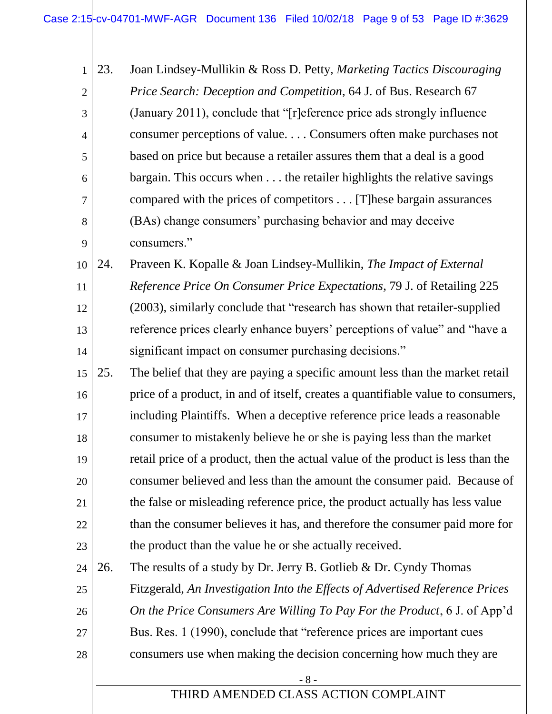1 2 3 4 5 6 7 8 9 23. Joan Lindsey-Mullikin & Ross D. Petty, *Marketing Tactics Discouraging Price Search: Deception and Competition*, 64 J. of Bus. Research 67 (January 2011), conclude that "[r]eference price ads strongly influence consumer perceptions of value. . . . Consumers often make purchases not based on price but because a retailer assures them that a deal is a good bargain. This occurs when . . . the retailer highlights the relative savings compared with the prices of competitors . . . [T]hese bargain assurances (BAs) change consumers' purchasing behavior and may deceive consumers."

10 11 12 13 14 24. Praveen K. Kopalle & Joan Lindsey-Mullikin, *The Impact of External Reference Price On Consumer Price Expectations*, 79 J. of Retailing 225 (2003), similarly conclude that "research has shown that retailer-supplied reference prices clearly enhance buyers' perceptions of value" and "have a significant impact on consumer purchasing decisions."

15 16 17 18 19 20 21 22 23 25. The belief that they are paying a specific amount less than the market retail price of a product, in and of itself, creates a quantifiable value to consumers, including Plaintiffs. When a deceptive reference price leads a reasonable consumer to mistakenly believe he or she is paying less than the market retail price of a product, then the actual value of the product is less than the consumer believed and less than the amount the consumer paid. Because of the false or misleading reference price, the product actually has less value than the consumer believes it has, and therefore the consumer paid more for the product than the value he or she actually received.

24 25 26 27 28 26. The results of a study by Dr. Jerry B. Gotlieb & Dr. Cyndy Thomas Fitzgerald, *An Investigation Into the Effects of Advertised Reference Prices On the Price Consumers Are Willing To Pay For the Product*, 6 J. of App'd Bus. Res. 1 (1990), conclude that "reference prices are important cues consumers use when making the decision concerning how much they are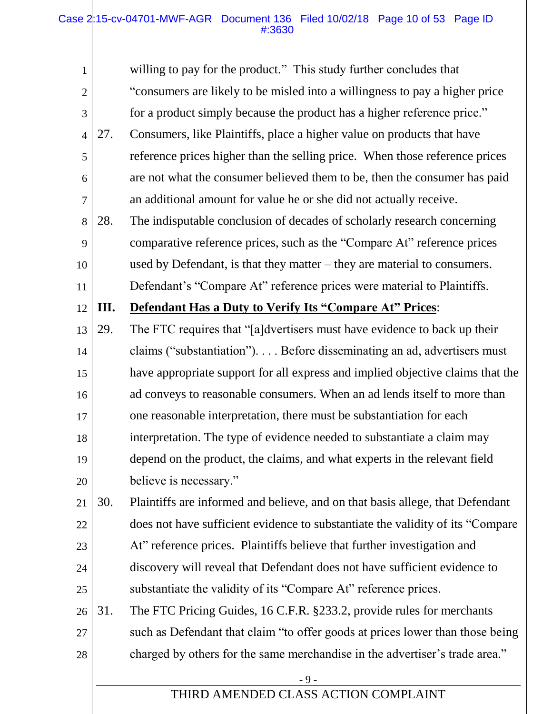#### Case 215-cv-04701-MWF-AGR Document 136 Filed 10/02/18 Page 10 of 53 Page ID #:3630

| 1              |     | willing to pay for the product." This study further concludes that              |
|----------------|-----|---------------------------------------------------------------------------------|
| $\overline{2}$ |     | "consumers are likely to be misled into a willingness to pay a higher price     |
| 3              |     | for a product simply because the product has a higher reference price."         |
| $\overline{4}$ | 27. | Consumers, like Plaintiffs, place a higher value on products that have          |
| 5              |     | reference prices higher than the selling price. When those reference prices     |
| 6              |     | are not what the consumer believed them to be, then the consumer has paid       |
| 7              |     | an additional amount for value he or she did not actually receive.              |
| 8              | 28. | The indisputable conclusion of decades of scholarly research concerning         |
| 9              |     | comparative reference prices, such as the "Compare At" reference prices         |
| 10             |     | used by Defendant, is that they matter $-$ they are material to consumers.      |
| 11             |     | Defendant's "Compare At" reference prices were material to Plaintiffs.          |
| 12             | Ш.  | <b>Defendant Has a Duty to Verify Its "Compare At" Prices:</b>                  |
| 13             | 29. | The FTC requires that "[a]dvertisers must have evidence to back up their        |
| 14             |     | claims ("substantiation"). Before disseminating an ad, advertisers must         |
| 15             |     | have appropriate support for all express and implied objective claims that the  |
| 16             |     | ad conveys to reasonable consumers. When an ad lends itself to more than        |
| 17             |     | one reasonable interpretation, there must be substantiation for each            |
| 18             |     | interpretation. The type of evidence needed to substantiate a claim may         |
| 19             |     | depend on the product, the claims, and what experts in the relevant field       |
| 20             |     | believe is necessary."                                                          |
| 21             | 30. | Plaintiffs are informed and believe, and on that basis allege, that Defendant   |
| 22             |     | does not have sufficient evidence to substantiate the validity of its "Compare" |
| 23             |     | At" reference prices. Plaintiffs believe that further investigation and         |
| 24             |     | discovery will reveal that Defendant does not have sufficient evidence to       |
| 25             |     | substantiate the validity of its "Compare At" reference prices.                 |
| 26             | 31. | The FTC Pricing Guides, 16 C.F.R. §233.2, provide rules for merchants           |
| 27             |     | such as Defendant that claim "to offer goods at prices lower than those being   |
| 28             |     | charged by others for the same merchandise in the advertiser's trade area."     |
|                |     | $-9-$                                                                           |
|                |     | THIRD AMENDED CLASS ACTION COMPLAINT                                            |
|                |     |                                                                                 |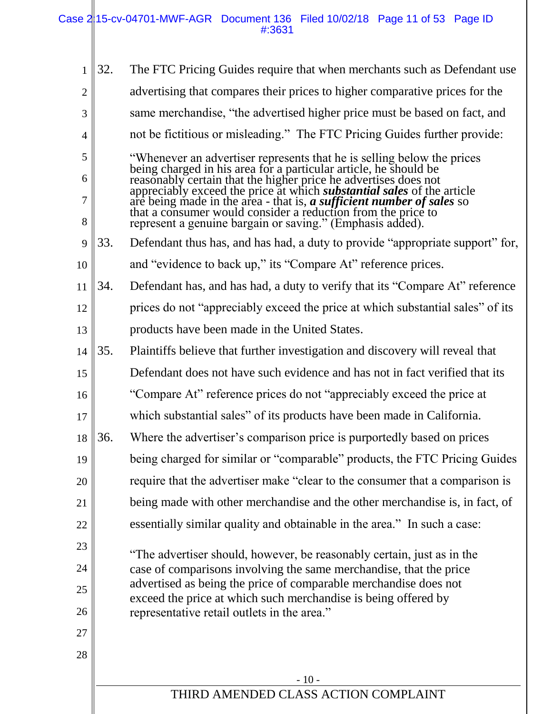| 1              | 32. | The FTC Pricing Guides require that when merchants such as Defendant use                                                                                                                                             |
|----------------|-----|----------------------------------------------------------------------------------------------------------------------------------------------------------------------------------------------------------------------|
| $\overline{2}$ |     | advertising that compares their prices to higher comparative prices for the                                                                                                                                          |
| 3              |     | same merchandise, "the advertised higher price must be based on fact, and                                                                                                                                            |
| $\overline{4}$ |     | not be fictitious or misleading." The FTC Pricing Guides further provide:                                                                                                                                            |
| 5              |     | "Whenever an advertiser represents that he is selling below the prices                                                                                                                                               |
| 6              |     | being charged in his area for a particular article, he should be<br>reasonably certain that the higher price he advertises does not<br>appreciably exceed the price at which <i>substantial sales</i> of the article |
| 7<br>8         |     | are being made in the area - that is, a sufficient number of sales so that a consumer would consider a reduction from the price to<br>represent a genuine bargain or saving." (Emphasis added).                      |
| 9              | 33. | Defendant thus has, and has had, a duty to provide "appropriate support" for,                                                                                                                                        |
| 10             |     | and "evidence to back up," its "Compare At" reference prices.                                                                                                                                                        |
| 11             | 34. | Defendant has, and has had, a duty to verify that its "Compare At" reference                                                                                                                                         |
| 12             |     | prices do not "appreciably exceed the price at which substantial sales" of its                                                                                                                                       |
| 13             |     | products have been made in the United States.                                                                                                                                                                        |
| 14             | 35. | Plaintiffs believe that further investigation and discovery will reveal that                                                                                                                                         |
| 15             |     | Defendant does not have such evidence and has not in fact verified that its                                                                                                                                          |
| 16             |     | "Compare At" reference prices do not "appreciably exceed the price at                                                                                                                                                |
| 17             |     | which substantial sales" of its products have been made in California.                                                                                                                                               |
| 18             | 36. | Where the advertiser's comparison price is purportedly based on prices                                                                                                                                               |
| 19             |     | being charged for similar or "comparable" products, the FTC Pricing Guides                                                                                                                                           |
| 20             |     | require that the advertiser make "clear to the consumer that a comparison is                                                                                                                                         |
| 21             |     | being made with other merchandise and the other merchandise is, in fact, of                                                                                                                                          |
| 22             |     | essentially similar quality and obtainable in the area." In such a case:                                                                                                                                             |
| 23             |     | "The advertiser should, however, be reasonably certain, just as in the                                                                                                                                               |
| 24             |     | case of comparisons involving the same merchandise, that the price                                                                                                                                                   |
| 25             |     | advertised as being the price of comparable merchandise does not<br>exceed the price at which such merchandise is being offered by                                                                                   |
| 26             |     | representative retail outlets in the area."                                                                                                                                                                          |
| 27             |     |                                                                                                                                                                                                                      |
| 28             |     |                                                                                                                                                                                                                      |
|                |     | $-10-$                                                                                                                                                                                                               |
|                |     | THIRD AMENDED CLASS ACTION COMPLAINT                                                                                                                                                                                 |
|                |     |                                                                                                                                                                                                                      |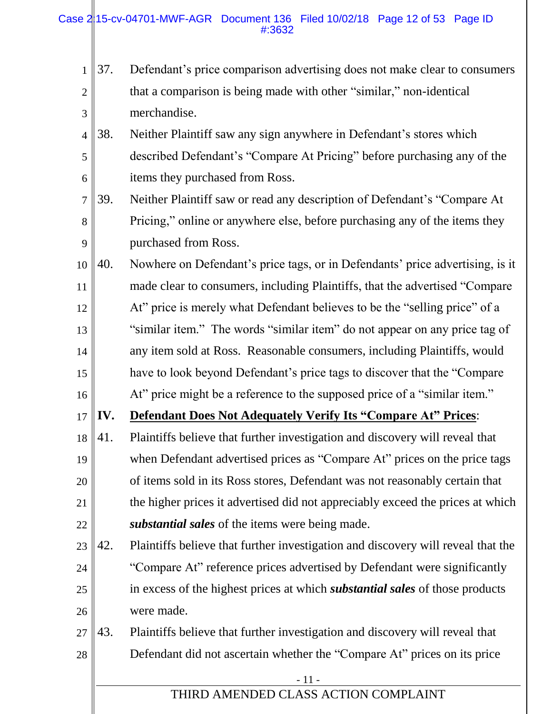Case 2|15-cv-04701-MWF-AGR Document 136 Filed 10/02/18 Page 12 of 53 Page ID #:3632

- 1 2 3 37. Defendant's price comparison advertising does not make clear to consumers that a comparison is being made with other "similar," non-identical merchandise.
- 4 5 6 38. Neither Plaintiff saw any sign anywhere in Defendant's stores which described Defendant's "Compare At Pricing" before purchasing any of the items they purchased from Ross.
- 7 8 9 39. Neither Plaintiff saw or read any description of Defendant's "Compare At Pricing," online or anywhere else, before purchasing any of the items they purchased from Ross.
- 10 11 12 13 14 15 16 40. Nowhere on Defendant's price tags, or in Defendants' price advertising, is it made clear to consumers, including Plaintiffs, that the advertised "Compare At" price is merely what Defendant believes to be the "selling price" of a "similar item." The words "similar item" do not appear on any price tag of any item sold at Ross. Reasonable consumers, including Plaintiffs, would have to look beyond Defendant's price tags to discover that the "Compare At" price might be a reference to the supposed price of a "similar item."
- 17 **IV. Defendant Does Not Adequately Verify Its "Compare At" Prices**:
- 18 19 20 21 22 41. Plaintiffs believe that further investigation and discovery will reveal that when Defendant advertised prices as "Compare At" prices on the price tags of items sold in its Ross stores, Defendant was not reasonably certain that the higher prices it advertised did not appreciably exceed the prices at which *substantial sales* of the items were being made.
- 23 24 25 26 42. Plaintiffs believe that further investigation and discovery will reveal that the "Compare At" reference prices advertised by Defendant were significantly in excess of the highest prices at which *substantial sales* of those products were made.
- 27 28 43. Plaintiffs believe that further investigation and discovery will reveal that Defendant did not ascertain whether the "Compare At" prices on its price

<sup>-</sup> 11 -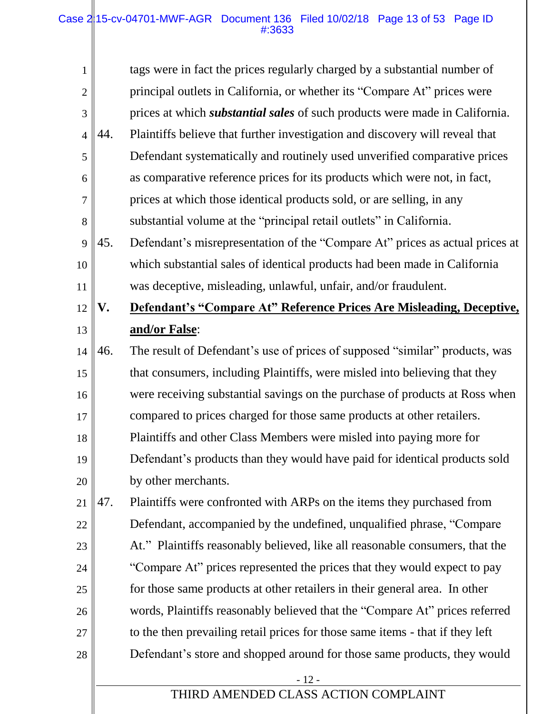#### Case 215-cv-04701-MWF-AGR Document 136 Filed 10/02/18 Page 13 of 53 Page ID #:3633

| $\mathbf{1}$   |     | tags were in fact the prices regularly charged by a substantial number of          |
|----------------|-----|------------------------------------------------------------------------------------|
| $\overline{c}$ |     | principal outlets in California, or whether its "Compare At" prices were           |
| 3              |     | prices at which <i>substantial sales</i> of such products were made in California. |
| $\overline{4}$ | 44. | Plaintiffs believe that further investigation and discovery will reveal that       |
| 5              |     | Defendant systematically and routinely used unverified comparative prices          |
| 6              |     | as comparative reference prices for its products which were not, in fact,          |
| 7              |     | prices at which those identical products sold, or are selling, in any              |
| 8              |     | substantial volume at the "principal retail outlets" in California.                |
| 9              | 45. | Defendant's misrepresentation of the "Compare At" prices as actual prices at       |
| 10             |     | which substantial sales of identical products had been made in California          |
| 11             |     | was deceptive, misleading, unlawful, unfair, and/or fraudulent.                    |
| 12             | V.  | Defendant's "Compare At" Reference Prices Are Misleading, Deceptive,               |
| 13             |     | and/or False:                                                                      |
| 14             | 46. | The result of Defendant's use of prices of supposed "similar" products, was        |
| 15             |     | that consumers, including Plaintiffs, were misled into believing that they         |
| 16             |     | were receiving substantial savings on the purchase of products at Ross when        |
| 17             |     | compared to prices charged for those same products at other retailers.             |
| 18             |     | Plaintiffs and other Class Members were misled into paying more for                |
| 19             |     | Defendant's products than they would have paid for identical products sold         |
| 20             |     | by other merchants.                                                                |
| 21             | 47. | Plaintiffs were confronted with ARPs on the items they purchased from              |
| 22             |     | Defendant, accompanied by the undefined, unqualified phrase, "Compare"             |
| 23             |     | At." Plaintiffs reasonably believed, like all reasonable consumers, that the       |
| 24             |     | "Compare At" prices represented the prices that they would expect to pay           |
| 25             |     | for those same products at other retailers in their general area. In other         |
| 26             |     | words, Plaintiffs reasonably believed that the "Compare At" prices referred        |
| 27             |     | to the then prevailing retail prices for those same items - that if they left      |
| 28             |     | Defendant's store and shopped around for those same products, they would           |
|                |     | $-12-$                                                                             |
|                |     | THIRD AMENDED CLASS ACTION COMPLAINT                                               |
|                |     |                                                                                    |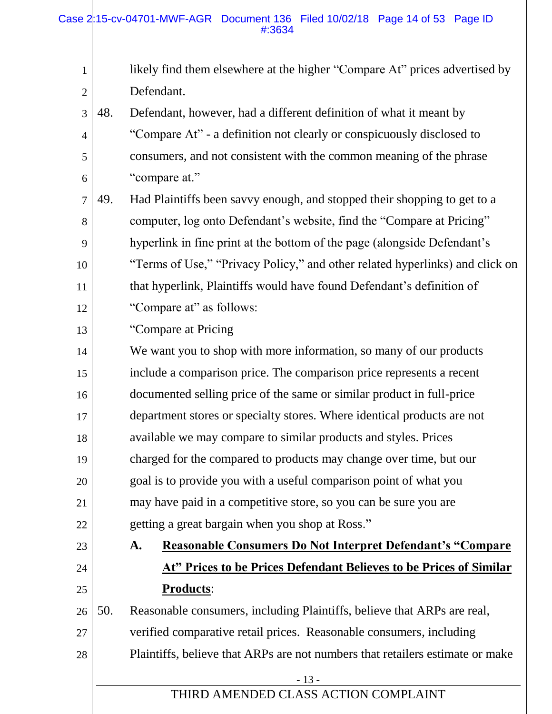| likely find them elsewhere at the higher "Compare At" prices advertised by |
|----------------------------------------------------------------------------|
| Defendant.                                                                 |

- 3 4 5 6 48. Defendant, however, had a different definition of what it meant by "Compare At" - a definition not clearly or conspicuously disclosed to consumers, and not consistent with the common meaning of the phrase "compare at."
- 7 8 9 10 11 12 49. Had Plaintiffs been savvy enough, and stopped their shopping to get to a computer, log onto Defendant's website, find the "Compare at Pricing" hyperlink in fine print at the bottom of the page (alongside Defendant's "Terms of Use," "Privacy Policy," and other related hyperlinks) and click on that hyperlink, Plaintiffs would have found Defendant's definition of "Compare at" as follows:
- 13 "Compare at Pricing

1

2

23

24

25

- 14 15 16 17 18 19 20 21 22 We want you to shop with more information, so many of our products include a comparison price. The comparison price represents a recent documented selling price of the same or similar product in full-price department stores or specialty stores. Where identical products are not available we may compare to similar products and styles. Prices charged for the compared to products may change over time, but our goal is to provide you with a useful comparison point of what you may have paid in a competitive store, so you can be sure you are getting a great bargain when you shop at Ross."
	- **A. Reasonable Consumers Do Not Interpret Defendant's "Compare At" Prices to be Prices Defendant Believes to be Prices of Similar Products**:

26 27 28 50. Reasonable consumers, including Plaintiffs, believe that ARPs are real, verified comparative retail prices. Reasonable consumers, including Plaintiffs, believe that ARPs are not numbers that retailers estimate or make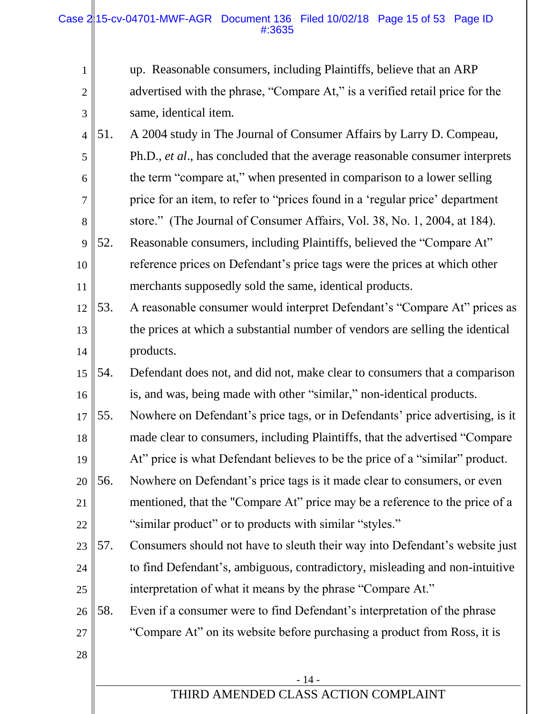| $\mathbf{1}$   |     | up. Reasonable consumers, including Plaintiffs, believe that an ARP           |
|----------------|-----|-------------------------------------------------------------------------------|
| $\overline{2}$ |     | advertised with the phrase, "Compare At," is a verified retail price for the  |
| 3              |     | same, identical item.                                                         |
| $\overline{4}$ | 51. | A 2004 study in The Journal of Consumer Affairs by Larry D. Compeau,          |
| 5              |     | Ph.D., et al., has concluded that the average reasonable consumer interprets  |
| 6              |     | the term "compare at," when presented in comparison to a lower selling        |
| $\tau$         |     | price for an item, to refer to "prices found in a 'regular price' department  |
| 8              |     | store." (The Journal of Consumer Affairs, Vol. 38, No. 1, 2004, at 184).      |
| 9              | 52. | Reasonable consumers, including Plaintiffs, believed the "Compare At"         |
| 10             |     | reference prices on Defendant's price tags were the prices at which other     |
| 11             |     | merchants supposedly sold the same, identical products.                       |
| 12             | 53. | A reasonable consumer would interpret Defendant's "Compare At" prices as      |
| 13             |     | the prices at which a substantial number of vendors are selling the identical |
| 14             |     | products.                                                                     |
| 15             | 54. | Defendant does not, and did not, make clear to consumers that a comparison    |
| 16             |     | is, and was, being made with other "similar," non-identical products.         |
| 17             | 55. | Nowhere on Defendant's price tags, or in Defendants' price advertising, is it |
| 18             |     | made clear to consumers, including Plaintiffs, that the advertised "Compare"  |
| 19             |     | At" price is what Defendant believes to be the price of a "similar" product.  |
| 20             | 56. | Nowhere on Defendant's price tags is it made clear to consumers, or even      |
| 21             |     | mentioned, that the "Compare At" price may be a reference to the price of a   |
| 22             |     | "similar product" or to products with similar "styles."                       |
| 23             | 57. | Consumers should not have to sleuth their way into Defendant's website just   |
| 24             |     | to find Defendant's, ambiguous, contradictory, misleading and non-intuitive   |
| 25             |     | interpretation of what it means by the phrase "Compare At."                   |
| 26             | 58. | Even if a consumer were to find Defendant's interpretation of the phrase      |
| 27             |     | "Compare At" on its website before purchasing a product from Ross, it is      |
| 28             |     |                                                                               |
|                |     | $-14-$                                                                        |
|                |     | THIRD AMENDED CLASS ACTION COMPLAINT                                          |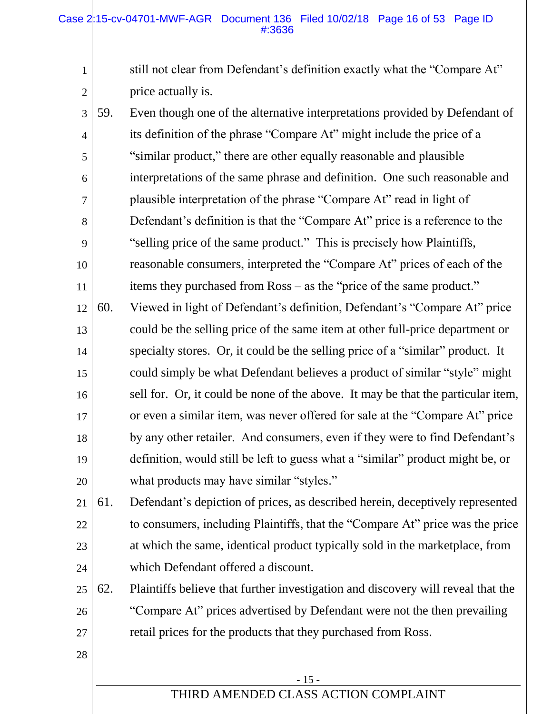1

2

28

still not clear from Defendant's definition exactly what the "Compare At" price actually is.

- 3 4 5 6 7 8 9 10 11 12 13 14 15 16 17 18 19 20 59. Even though one of the alternative interpretations provided by Defendant of its definition of the phrase "Compare At" might include the price of a "similar product," there are other equally reasonable and plausible interpretations of the same phrase and definition. One such reasonable and plausible interpretation of the phrase "Compare At" read in light of Defendant's definition is that the "Compare At" price is a reference to the "selling price of the same product." This is precisely how Plaintiffs, reasonable consumers, interpreted the "Compare At" prices of each of the items they purchased from Ross – as the "price of the same product." 60. Viewed in light of Defendant's definition, Defendant's "Compare At" price could be the selling price of the same item at other full-price department or specialty stores. Or, it could be the selling price of a "similar" product. It could simply be what Defendant believes a product of similar "style" might sell for. Or, it could be none of the above. It may be that the particular item, or even a similar item, was never offered for sale at the "Compare At" price by any other retailer. And consumers, even if they were to find Defendant's definition, would still be left to guess what a "similar" product might be, or what products may have similar "styles."
- 21 22 23 24 61. Defendant's depiction of prices, as described herein, deceptively represented to consumers, including Plaintiffs, that the "Compare At" price was the price at which the same, identical product typically sold in the marketplace, from which Defendant offered a discount.
- 25 26 27 62. Plaintiffs believe that further investigation and discovery will reveal that the "Compare At" prices advertised by Defendant were not the then prevailing retail prices for the products that they purchased from Ross.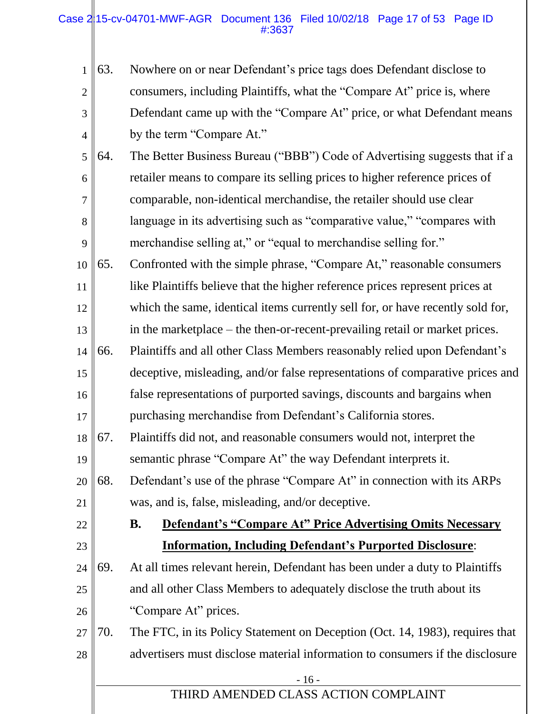#### Case  $2/15$ -cv-04701-MWF-AGR Document 136 Filed 10/02/18 Page 17 of 53 Page ID #:3637

22

23

|               | $1 \, \ \, 63.$ | Nowhere on or near Defendant's price tags does Defendant disclose to   |
|---------------|-----------------|------------------------------------------------------------------------|
| $2 \parallel$ |                 | consumers, including Plaintiffs, what the "Compare At" price is, where |
| $3 \parallel$ |                 | Defendant came up with the "Compare At" price, or what Defendant means |
| $4 \parallel$ |                 | by the term "Compare At."                                              |

- 5 6 7 8 9 64. The Better Business Bureau ("BBB") Code of Advertising suggests that if a retailer means to compare its selling prices to higher reference prices of comparable, non-identical merchandise, the retailer should use clear language in its advertising such as "comparative value," "compares with merchandise selling at," or "equal to merchandise selling for."
- 10 11 12 65. Confronted with the simple phrase, "Compare At," reasonable consumers like Plaintiffs believe that the higher reference prices represent prices at which the same, identical items currently sell for, or have recently sold for,
- 13 14 in the marketplace – the then-or-recent-prevailing retail or market prices. 66. Plaintiffs and all other Class Members reasonably relied upon Defendant's
- 15 16 17 deceptive, misleading, and/or false representations of comparative prices and false representations of purported savings, discounts and bargains when purchasing merchandise from Defendant's California stores.
- 18 19 67. Plaintiffs did not, and reasonable consumers would not, interpret the semantic phrase "Compare At" the way Defendant interprets it.
- 20 21 68. Defendant's use of the phrase "Compare At" in connection with its ARPs was, and is, false, misleading, and/or deceptive.

# **B. Defendant's "Compare At" Price Advertising Omits Necessary Information, Including Defendant's Purported Disclosure**:

- 24 25 26 69. At all times relevant herein, Defendant has been under a duty to Plaintiffs and all other Class Members to adequately disclose the truth about its "Compare At" prices.
- 27 28 70. The FTC, in its Policy Statement on Deception (Oct. 14, 1983), requires that advertisers must disclose material information to consumers if the disclosure

| × |
|---|
|---|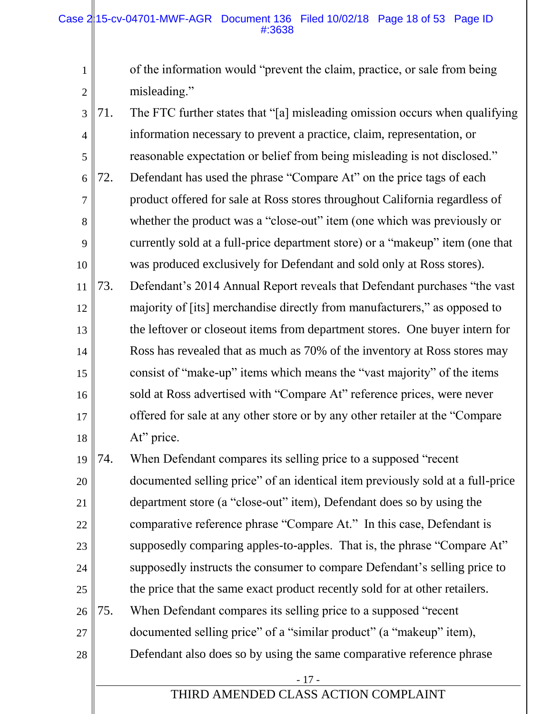1

2

of the information would "prevent the claim, practice, or sale from being misleading."

3 4 5 6 7 8 9 10 11 12 13 14 15 16 17 18 71. The FTC further states that "[a] misleading omission occurs when qualifying information necessary to prevent a practice, claim, representation, or reasonable expectation or belief from being misleading is not disclosed." 72. Defendant has used the phrase "Compare At" on the price tags of each product offered for sale at Ross stores throughout California regardless of whether the product was a "close-out" item (one which was previously or currently sold at a full-price department store) or a "makeup" item (one that was produced exclusively for Defendant and sold only at Ross stores). 73. Defendant's 2014 Annual Report reveals that Defendant purchases "the vast majority of [its] merchandise directly from manufacturers," as opposed to the leftover or closeout items from department stores. One buyer intern for Ross has revealed that as much as 70% of the inventory at Ross stores may consist of "make-up" items which means the "vast majority" of the items sold at Ross advertised with "Compare At" reference prices, were never offered for sale at any other store or by any other retailer at the "Compare At" price.

19 20 21 22 23 24 25 26 27 28 74. When Defendant compares its selling price to a supposed "recent documented selling price" of an identical item previously sold at a full-price department store (a "close-out" item), Defendant does so by using the comparative reference phrase "Compare At." In this case, Defendant is supposedly comparing apples-to-apples. That is, the phrase "Compare At" supposedly instructs the consumer to compare Defendant's selling price to the price that the same exact product recently sold for at other retailers. 75. When Defendant compares its selling price to a supposed "recent documented selling price" of a "similar product" (a "makeup" item), Defendant also does so by using the same comparative reference phrase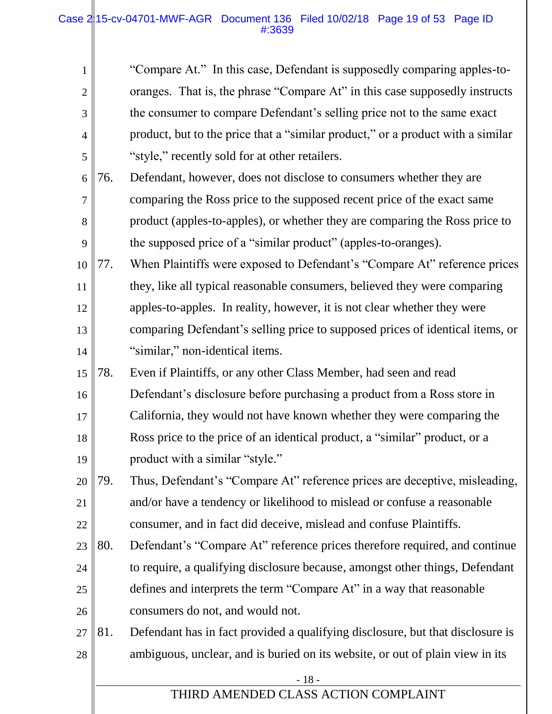#### Case 215-cv-04701-MWF-AGR Document 136 Filed 10/02/18 Page 19 of 53 Page ID #:3639

| $\mathbf{1}$   |     | "Compare At." In this case, Defendant is supposedly comparing apples-to-        |
|----------------|-----|---------------------------------------------------------------------------------|
| $\overline{2}$ |     | oranges. That is, the phrase "Compare At" in this case supposedly instructs     |
| 3              |     | the consumer to compare Defendant's selling price not to the same exact         |
| $\overline{4}$ |     | product, but to the price that a "similar product," or a product with a similar |
| 5              |     | "style," recently sold for at other retailers.                                  |
| 6              | 76. | Defendant, however, does not disclose to consumers whether they are             |
| 7              |     | comparing the Ross price to the supposed recent price of the exact same         |
| 8              |     | product (apples-to-apples), or whether they are comparing the Ross price to     |
| 9              |     | the supposed price of a "similar product" (apples-to-oranges).                  |
| 10             | 77. | When Plaintiffs were exposed to Defendant's "Compare At" reference prices       |
| 11             |     | they, like all typical reasonable consumers, believed they were comparing       |
| 12             |     | apples-to-apples. In reality, however, it is not clear whether they were        |
| 13             |     | comparing Defendant's selling price to supposed prices of identical items, or   |
| 14             |     | "similar," non-identical items.                                                 |
| 15             | 78. | Even if Plaintiffs, or any other Class Member, had seen and read                |
| 16             |     | Defendant's disclosure before purchasing a product from a Ross store in         |
| 17             |     | California, they would not have known whether they were comparing the           |
| 18             |     | Ross price to the price of an identical product, a "similar" product, or a      |
| 19             |     | product with a similar "style."                                                 |
| 20             | 79. | Thus, Defendant's "Compare At" reference prices are deceptive, misleading,      |
| 21             |     | and/or have a tendency or likelihood to mislead or confuse a reasonable         |
| 22             |     | consumer, and in fact did deceive, mislead and confuse Plaintiffs.              |
| 23             | 80. | Defendant's "Compare At" reference prices therefore required, and continue      |
| 24             |     | to require, a qualifying disclosure because, amongst other things, Defendant    |
| 25             |     | defines and interprets the term "Compare At" in a way that reasonable           |
| 26             |     | consumers do not, and would not.                                                |
| 27             | 81. | Defendant has in fact provided a qualifying disclosure, but that disclosure is  |
| 28             |     | ambiguous, unclear, and is buried on its website, or out of plain view in its   |
|                |     | $-18-$                                                                          |
|                |     | THIRD AMENDED CLASS ACTION COMPLAINT                                            |
|                |     |                                                                                 |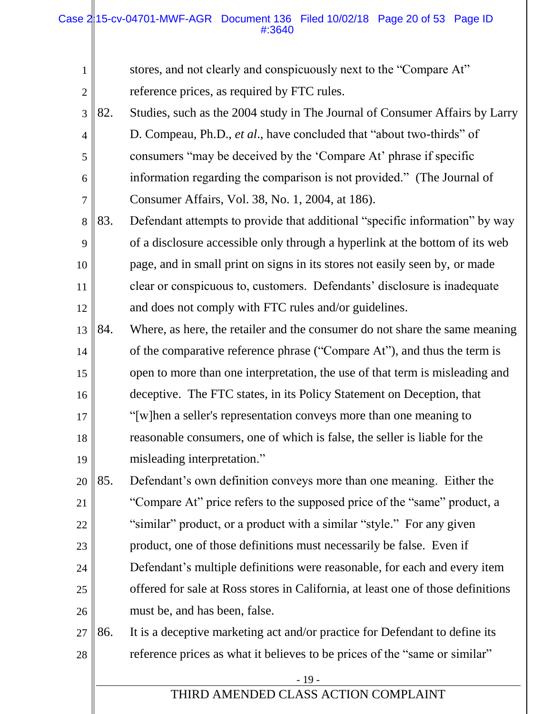#### Case 2|15-cv-04701-MWF-AGR Document 136 Filed 10/02/18 Page 20 of 53 Page ID #:3640

- 19 - THIRD AMENDED CLASS ACTION COMPLAINT 1 2 3 4 5 6 7 8 9 10 11 12 13 14 15 16 17 18 19 20 21 22 23 24 25 26 27 28 stores, and not clearly and conspicuously next to the "Compare At" reference prices, as required by FTC rules. 82. Studies, such as the 2004 study in The Journal of Consumer Affairs by Larry D. Compeau, Ph.D., *et al*., have concluded that "about two-thirds" of consumers "may be deceived by the 'Compare At' phrase if specific information regarding the comparison is not provided." (The Journal of Consumer Affairs, Vol. 38, No. 1, 2004, at 186). 83. Defendant attempts to provide that additional "specific information" by way of a disclosure accessible only through a hyperlink at the bottom of its web page, and in small print on signs in its stores not easily seen by, or made clear or conspicuous to, customers. Defendants' disclosure is inadequate and does not comply with FTC rules and/or guidelines. 84. Where, as here, the retailer and the consumer do not share the same meaning of the comparative reference phrase ("Compare At"), and thus the term is open to more than one interpretation, the use of that term is misleading and deceptive. The FTC states, in its Policy Statement on Deception, that "[w]hen a seller's representation conveys more than one meaning to reasonable consumers, one of which is false, the seller is liable for the misleading interpretation." 85. Defendant's own definition conveys more than one meaning. Either the "Compare At" price refers to the supposed price of the "same" product, a "similar" product, or a product with a similar "style." For any given product, one of those definitions must necessarily be false. Even if Defendant's multiple definitions were reasonable, for each and every item offered for sale at Ross stores in California, at least one of those definitions must be, and has been, false. 86. It is a deceptive marketing act and/or practice for Defendant to define its reference prices as what it believes to be prices of the "same or similar"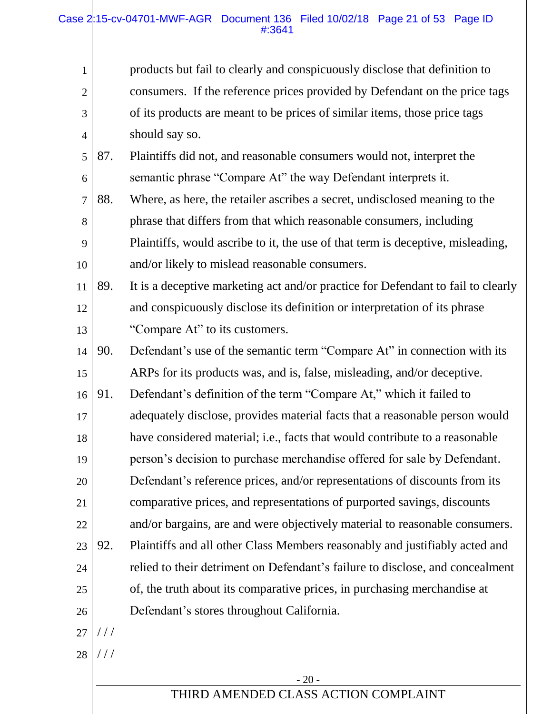| Case $2 15$ -cv-04701-MWF-AGR Document 136 Filed 10/02/18 Page 21 of 53 Page ID | #:3641 |  |  |  |
|---------------------------------------------------------------------------------|--------|--|--|--|
|---------------------------------------------------------------------------------|--------|--|--|--|

products but fail to clearly and conspicuously disclose that definition to consumers. If the reference prices provided by Defendant on the price tags of its products are meant to be prices of similar items, those price tags should say so.

- 5 6 87. Plaintiffs did not, and reasonable consumers would not, interpret the semantic phrase "Compare At" the way Defendant interprets it.
- 7 8 9 10 88. Where, as here, the retailer ascribes a secret, undisclosed meaning to the phrase that differs from that which reasonable consumers, including Plaintiffs, would ascribe to it, the use of that term is deceptive, misleading, and/or likely to mislead reasonable consumers.
- 11 12 13 89. It is a deceptive marketing act and/or practice for Defendant to fail to clearly and conspicuously disclose its definition or interpretation of its phrase "Compare At" to its customers.
- 14 15 16 90. Defendant's use of the semantic term "Compare At" in connection with its ARPs for its products was, and is, false, misleading, and/or deceptive. 91. Defendant's definition of the term "Compare At," which it failed to
- 17 18 19 20 adequately disclose, provides material facts that a reasonable person would have considered material; i.e., facts that would contribute to a reasonable person's decision to purchase merchandise offered for sale by Defendant. Defendant's reference prices, and/or representations of discounts from its
- 21 22 23 comparative prices, and representations of purported savings, discounts and/or bargains, are and were objectively material to reasonable consumers. 92. Plaintiffs and all other Class Members reasonably and justifiably acted and
- 25 relied to their detriment on Defendant's failure to disclose, and concealment of, the truth about its comparative prices, in purchasing merchandise at
- 26 27 Defendant's stores throughout California.  $///$
- 28 / / /

24

1

2

3

4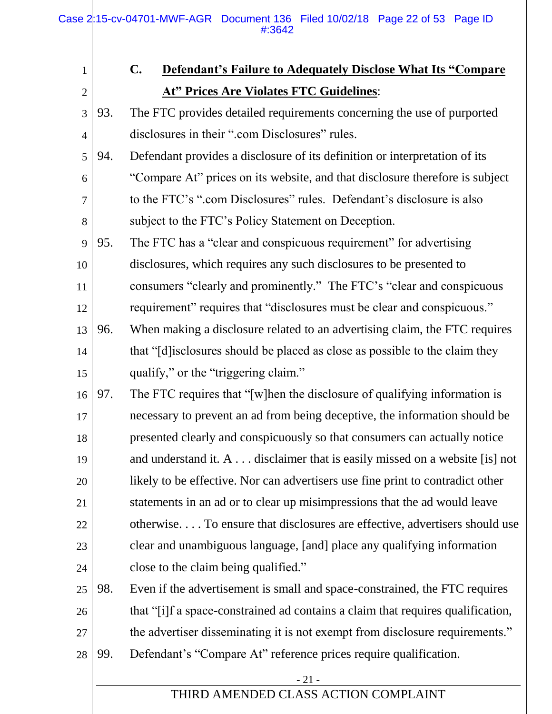Ш

| $\mathbf{1}$   |     | $\mathbf{C}$ .<br><b>Defendant's Failure to Adequately Disclose What Its "Compare"</b> |
|----------------|-----|----------------------------------------------------------------------------------------|
| $\mathbf{2}$   |     | <b>At" Prices Are Violates FTC Guidelines:</b>                                         |
| 3              | 93. | The FTC provides detailed requirements concerning the use of purported                 |
| $\overline{4}$ |     | disclosures in their ".com Disclosures" rules.                                         |
| 5              | 94. | Defendant provides a disclosure of its definition or interpretation of its             |
| 6              |     | "Compare At" prices on its website, and that disclosure therefore is subject           |
| 7              |     | to the FTC's ".com Disclosures" rules. Defendant's disclosure is also                  |
| 8              |     | subject to the FTC's Policy Statement on Deception.                                    |
| 9              | 95. | The FTC has a "clear and conspicuous requirement" for advertising                      |
| 10             |     | disclosures, which requires any such disclosures to be presented to                    |
| 11             |     | consumers "clearly and prominently." The FTC's "clear and conspicuous                  |
| 12             |     | requirement" requires that "disclosures must be clear and conspicuous."                |
| 13             | 96. | When making a disclosure related to an advertising claim, the FTC requires             |
| 14             |     | that "[d] is closures should be placed as close as possible to the claim they          |
| 15             |     | qualify," or the "triggering claim."                                                   |
| 16             | 97. | The FTC requires that "[w] hen the disclosure of qualifying information is             |
| 17             |     | necessary to prevent an ad from being deceptive, the information should be             |
| 18             |     | presented clearly and conspicuously so that consumers can actually notice              |
| 19             |     | and understand it. A disclaimer that is easily missed on a website [is] not            |
| 20             |     | likely to be effective. Nor can advertisers use fine print to contradict other         |
| 21             |     | statements in an ad or to clear up misimpressions that the ad would leave              |
| 22             |     | otherwise To ensure that disclosures are effective, advertisers should use             |
| 23             |     | clear and unambiguous language, [and] place any qualifying information                 |
| 24             |     | close to the claim being qualified."                                                   |
| 25             | 98. | Even if the advertisement is small and space-constrained, the FTC requires             |
| 26             |     | that "[i]f a space-constrained ad contains a claim that requires qualification,        |
| 27             |     | the advertiser disseminating it is not exempt from disclosure requirements."           |
| 28             | 99. | Defendant's "Compare At" reference prices require qualification.                       |
|                |     | $-21-$                                                                                 |
|                |     | THIRD AMENDED CLASS ACTION COMPLAINT                                                   |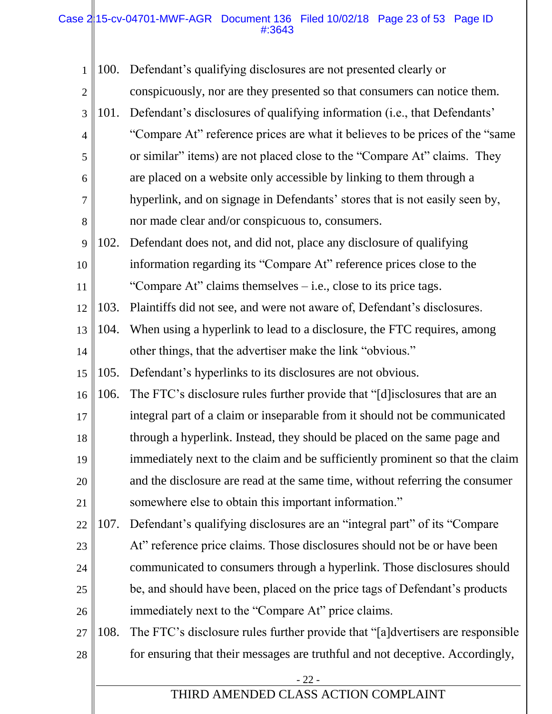#### Case 215-cv-04701-MWF-AGR Document 136 Filed 10/02/18 Page 23 of 53 Page ID #:3643

II

| $\mathbf{1}$   | 100. | Defendant's qualifying disclosures are not presented clearly or                 |
|----------------|------|---------------------------------------------------------------------------------|
| $\overline{2}$ |      | conspicuously, nor are they presented so that consumers can notice them.        |
| 3              | 101. | Defendant's disclosures of qualifying information (i.e., that Defendants'       |
| $\overline{4}$ |      | "Compare At" reference prices are what it believes to be prices of the "same"   |
| 5              |      | or similar" items) are not placed close to the "Compare At" claims. They        |
| 6              |      | are placed on a website only accessible by linking to them through a            |
| $\tau$         |      | hyperlink, and on signage in Defendants' stores that is not easily seen by,     |
| 8              |      | nor made clear and/or conspicuous to, consumers.                                |
| 9              | 102. | Defendant does not, and did not, place any disclosure of qualifying             |
| 10             |      | information regarding its "Compare At" reference prices close to the            |
| 11             |      | "Compare At" claims themselves $-$ i.e., close to its price tags.               |
| 12             | 103. | Plaintiffs did not see, and were not aware of, Defendant's disclosures.         |
| 13             | 104. | When using a hyperlink to lead to a disclosure, the FTC requires, among         |
| 14             |      | other things, that the advertiser make the link "obvious."                      |
| 15             | 105. | Defendant's hyperlinks to its disclosures are not obvious.                      |
| 16             | 106. | The FTC's disclosure rules further provide that "[d] isclosures that are an     |
| 17             |      | integral part of a claim or inseparable from it should not be communicated      |
| 18             |      | through a hyperlink. Instead, they should be placed on the same page and        |
| 19             |      | immediately next to the claim and be sufficiently prominent so that the claim   |
| 20             |      | and the disclosure are read at the same time, without referring the consumer    |
| 21             |      | somewhere else to obtain this important information."                           |
| 22             | 107. | Defendant's qualifying disclosures are an "integral part" of its "Compare"      |
| 23             |      | At" reference price claims. Those disclosures should not be or have been        |
| 24             |      | communicated to consumers through a hyperlink. Those disclosures should         |
| 25             |      | be, and should have been, placed on the price tags of Defendant's products      |
| 26             |      | immediately next to the "Compare At" price claims.                              |
| 27             | 108. | The FTC's disclosure rules further provide that "[a] dvertisers are responsible |
| 28             |      | for ensuring that their messages are truthful and not deceptive. Accordingly,   |
|                |      | $-22-$                                                                          |
|                |      | THIRD AMENDED CLASS ACTION COMPLAINT                                            |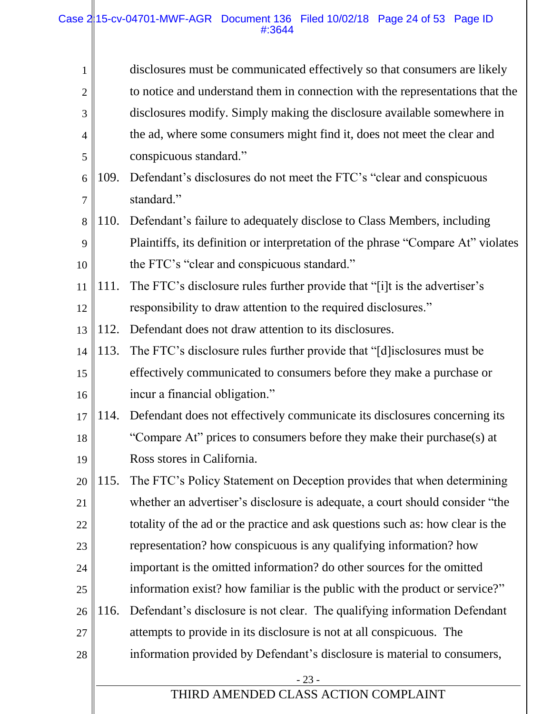| $\mathbf{1}$   |      | disclosures must be communicated effectively so that consumers are likely        |
|----------------|------|----------------------------------------------------------------------------------|
| $\overline{2}$ |      | to notice and understand them in connection with the representations that the    |
| 3              |      | disclosures modify. Simply making the disclosure available somewhere in          |
| $\overline{4}$ |      | the ad, where some consumers might find it, does not meet the clear and          |
| 5              |      | conspicuous standard."                                                           |
| 6              | 109. | Defendant's disclosures do not meet the FTC's "clear and conspicuous             |
| 7              |      | standard."                                                                       |
| 8              | 110. | Defendant's failure to adequately disclose to Class Members, including           |
| 9              |      | Plaintiffs, its definition or interpretation of the phrase "Compare At" violates |
| 10             |      | the FTC's "clear and conspicuous standard."                                      |
| 11             | 111. | The FTC's disclosure rules further provide that "[i]t is the advertiser's        |
| 12             |      | responsibility to draw attention to the required disclosures."                   |
| 13             | 112. | Defendant does not draw attention to its disclosures.                            |
| 14             | 113. | The FTC's disclosure rules further provide that "[d] isclosures must be          |
| 15             |      | effectively communicated to consumers before they make a purchase or             |
| 16             |      | incur a financial obligation."                                                   |
| 17             | 114. | Defendant does not effectively communicate its disclosures concerning its        |
| 18             |      | "Compare At" prices to consumers before they make their purchase(s) at           |
| 19             |      | Ross stores in California.                                                       |
| 20             | 115. | The FTC's Policy Statement on Deception provides that when determining           |
| 21             |      | whether an advertiser's disclosure is adequate, a court should consider "the     |
| 22             |      | totality of the ad or the practice and ask questions such as: how clear is the   |
| 23             |      | representation? how conspicuous is any qualifying information? how               |
| 24             |      | important is the omitted information? do other sources for the omitted           |
| 25             |      | information exist? how familiar is the public with the product or service?"      |
| 26             | 116. | Defendant's disclosure is not clear. The qualifying information Defendant        |
| 27             |      | attempts to provide in its disclosure is not at all conspicuous. The             |
| 28             |      | information provided by Defendant's disclosure is material to consumers,         |
|                |      | $-23-$                                                                           |
|                |      | THIRD AMENDED CLASS ACTION COMPLAINT                                             |
|                |      |                                                                                  |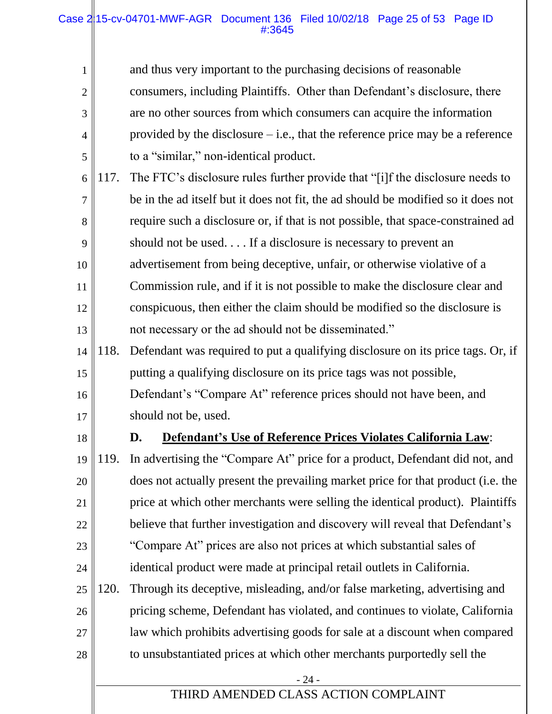#### Case 215-cv-04701-MWF-AGR Document 136 Filed 10/02/18 Page 25 of 53 Page ID #:3645

| $\mathbf{1}$ |             | and thus very important to the purchasing decisions of reasonable                 |
|--------------|-------------|-----------------------------------------------------------------------------------|
| $\mathbf{2}$ |             | consumers, including Plaintiffs. Other than Defendant's disclosure, there         |
| 3            |             | are no other sources from which consumers can acquire the information             |
| 4            |             | provided by the disclosure $-$ i.e., that the reference price may be a reference  |
| 5            |             | to a "similar," non-identical product.                                            |
| 6            | 117.        | The FTC's disclosure rules further provide that "[i]f the disclosure needs to     |
| 7            |             | be in the ad itself but it does not fit, the ad should be modified so it does not |
| 8            |             | require such a disclosure or, if that is not possible, that space-constrained ad  |
| 9            |             | should not be used If a disclosure is necessary to prevent an                     |
| 10           |             | advertisement from being deceptive, unfair, or otherwise violative of a           |
| 11           |             | Commission rule, and if it is not possible to make the disclosure clear and       |
| 12           |             | conspicuous, then either the claim should be modified so the disclosure is        |
| 13           |             | not necessary or the ad should not be disseminated."                              |
| 14           | 118.        | Defendant was required to put a qualifying disclosure on its price tags. Or, if   |
| 15           |             | putting a qualifying disclosure on its price tags was not possible,               |
| 16           |             | Defendant's "Compare At" reference prices should not have been, and               |
| 17           |             | should not be, used.                                                              |
| 18           |             | <b>Defendant's Use of Reference Prices Violates California Law:</b><br>D.         |
|              | $19$   119. | In advertising the "Compare At" price for a product, Defendant did not, and       |
| 20           |             | does not actually present the prevailing market price for that product (i.e. the  |
| 21           |             | price at which other merchants were selling the identical product). Plaintiffs    |
| 22           |             | believe that further investigation and discovery will reveal that Defendant's     |
| 23           |             | "Compare At" prices are also not prices at which substantial sales of             |
| 24           |             | identical product were made at principal retail outlets in California.            |
| 25           | 120.        | Through its deceptive, misleading, and/or false marketing, advertising and        |
| 26           |             | pricing scheme, Defendant has violated, and continues to violate, California      |
| 27           |             | law which prohibits advertising goods for sale at a discount when compared        |
| 28           |             | to unsubstantiated prices at which other merchants purportedly sell the           |
|              |             | $-24-$                                                                            |
|              |             | THIRD AMENDED CLASS ACTION COMPLAINT                                              |
|              |             |                                                                                   |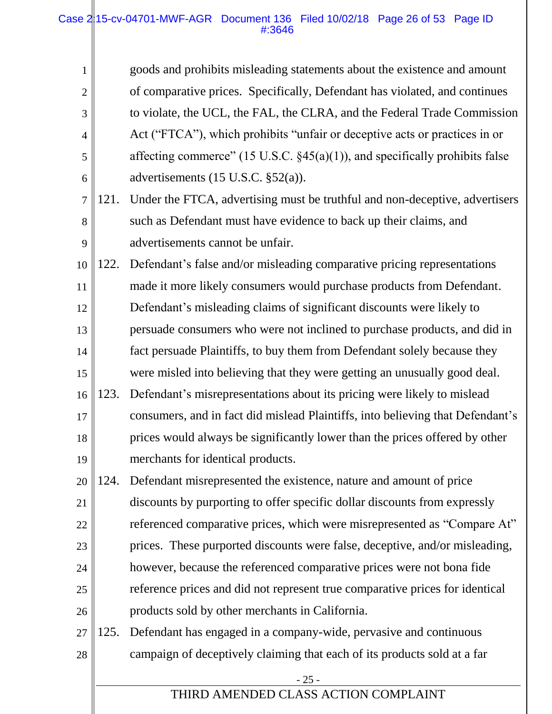#### Case 2|15-cv-04701-MWF-AGR Document 136 Filed 10/02/18 Page 26 of 53 Page ID #:3646

1

2

3

4

5

6

goods and prohibits misleading statements about the existence and amount of comparative prices. Specifically, Defendant has violated, and continues to violate, the UCL, the FAL, the CLRA, and the Federal Trade Commission Act ("FTCA"), which prohibits "unfair or deceptive acts or practices in or affecting commerce" (15 U.S.C.  $\S$ 45(a)(1)), and specifically prohibits false advertisements (15 U.S.C. §52(a)).

- 7 8 9 121. Under the FTCA, advertising must be truthful and non-deceptive, advertisers such as Defendant must have evidence to back up their claims, and advertisements cannot be unfair.
- 10 11 12 13 14 15 16 122. Defendant's false and/or misleading comparative pricing representations made it more likely consumers would purchase products from Defendant. Defendant's misleading claims of significant discounts were likely to persuade consumers who were not inclined to purchase products, and did in fact persuade Plaintiffs, to buy them from Defendant solely because they were misled into believing that they were getting an unusually good deal. 123. Defendant's misrepresentations about its pricing were likely to mislead
- 17 18 19 consumers, and in fact did mislead Plaintiffs, into believing that Defendant's prices would always be significantly lower than the prices offered by other merchants for identical products.
- 20 21 22 23 24 25 26 124. Defendant misrepresented the existence, nature and amount of price discounts by purporting to offer specific dollar discounts from expressly referenced comparative prices, which were misrepresented as "Compare At" prices. These purported discounts were false, deceptive, and/or misleading, however, because the referenced comparative prices were not bona fide reference prices and did not represent true comparative prices for identical products sold by other merchants in California.
- 27 28 125. Defendant has engaged in a company-wide, pervasive and continuous campaign of deceptively claiming that each of its products sold at a far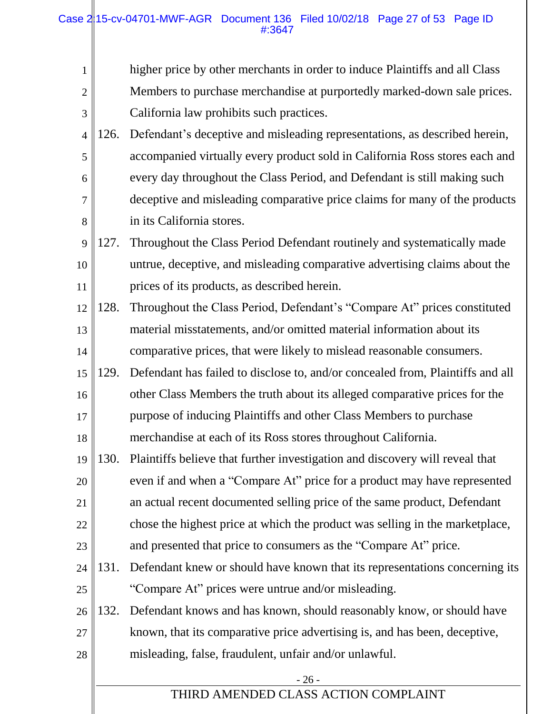#### Case 215-cv-04701-MWF-AGR Document 136 Filed 10/02/18 Page 27 of 53 Page ID #:3647

| $\mathbf{1}$   |      | higher price by other merchants in order to induce Plaintiffs and all Class    |
|----------------|------|--------------------------------------------------------------------------------|
| $\overline{2}$ |      | Members to purchase merchandise at purportedly marked-down sale prices.        |
| 3              |      | California law prohibits such practices.                                       |
| $\overline{4}$ | 126. | Defendant's deceptive and misleading representations, as described herein,     |
| 5              |      | accompanied virtually every product sold in California Ross stores each and    |
| 6              |      | every day throughout the Class Period, and Defendant is still making such      |
| $\overline{7}$ |      | deceptive and misleading comparative price claims for many of the products     |
| 8              |      | in its California stores.                                                      |
| 9              | 127. | Throughout the Class Period Defendant routinely and systematically made        |
| 10             |      | untrue, deceptive, and misleading comparative advertising claims about the     |
| 11             |      | prices of its products, as described herein.                                   |
| 12             | 128. | Throughout the Class Period, Defendant's "Compare At" prices constituted       |
| 13             |      | material misstatements, and/or omitted material information about its          |
| 14             |      | comparative prices, that were likely to mislead reasonable consumers.          |
| 15             | 129. | Defendant has failed to disclose to, and/or concealed from, Plaintiffs and all |
| 16             |      | other Class Members the truth about its alleged comparative prices for the     |
| 17             |      | purpose of inducing Plaintiffs and other Class Members to purchase             |
| 18             |      | merchandise at each of its Ross stores throughout California.                  |
| 19             | 130. | Plaintiffs believe that further investigation and discovery will reveal that   |
| 20             |      | even if and when a "Compare At" price for a product may have represented       |
| 21             |      | an actual recent documented selling price of the same product, Defendant       |
| 22             |      | chose the highest price at which the product was selling in the market place,  |
| 23             |      | and presented that price to consumers as the "Compare At" price.               |
| 24             | 131. | Defendant knew or should have known that its representations concerning its    |
| 25             |      | "Compare At" prices were untrue and/or misleading.                             |
| 26             | 132. | Defendant knows and has known, should reasonably know, or should have          |
| 27             |      | known, that its comparative price advertising is, and has been, deceptive,     |
| 28             |      | misleading, false, fraudulent, unfair and/or unlawful.                         |
|                |      | $-26-$                                                                         |
|                |      | THIRD AMENDED CLASS ACTION COMPLAINT                                           |
|                |      |                                                                                |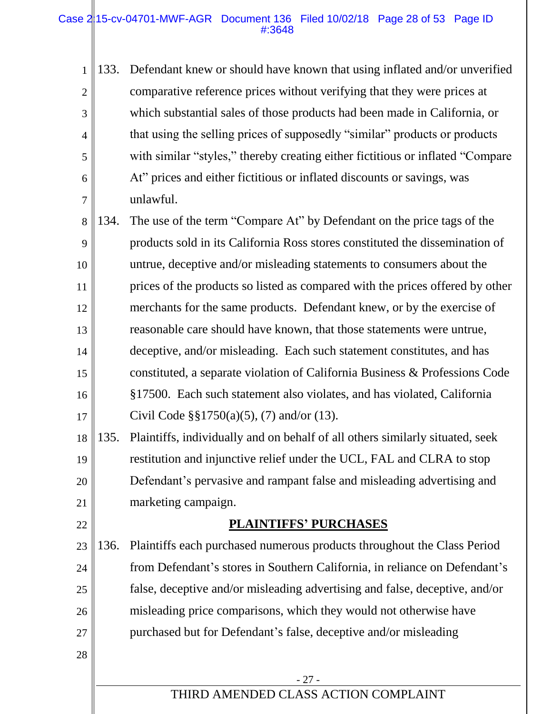#### Case 2|15-cv-04701-MWF-AGR Document 136 Filed 10/02/18 Page 28 of 53 Page ID #:3648

1 2 3 4 5 6 7 133. Defendant knew or should have known that using inflated and/or unverified comparative reference prices without verifying that they were prices at which substantial sales of those products had been made in California, or that using the selling prices of supposedly "similar" products or products with similar "styles," thereby creating either fictitious or inflated "Compare At" prices and either fictitious or inflated discounts or savings, was unlawful.

8 9 10 11 12 13 14 15 16 17 134. The use of the term "Compare At" by Defendant on the price tags of the products sold in its California Ross stores constituted the dissemination of untrue, deceptive and/or misleading statements to consumers about the prices of the products so listed as compared with the prices offered by other merchants for the same products. Defendant knew, or by the exercise of reasonable care should have known, that those statements were untrue, deceptive, and/or misleading. Each such statement constitutes, and has constituted, a separate violation of California Business & Professions Code §17500. Each such statement also violates, and has violated, California Civil Code §§1750(a)(5), (7) and/or (13).

18 19 20 21 135. Plaintiffs, individually and on behalf of all others similarly situated, seek restitution and injunctive relief under the UCL, FAL and CLRA to stop Defendant's pervasive and rampant false and misleading advertising and marketing campaign.

# 22

28

## **PLAINTIFFS' PURCHASES**

23 24 25 26 27 136. Plaintiffs each purchased numerous products throughout the Class Period from Defendant's stores in Southern California, in reliance on Defendant's false, deceptive and/or misleading advertising and false, deceptive, and/or misleading price comparisons, which they would not otherwise have purchased but for Defendant's false, deceptive and/or misleading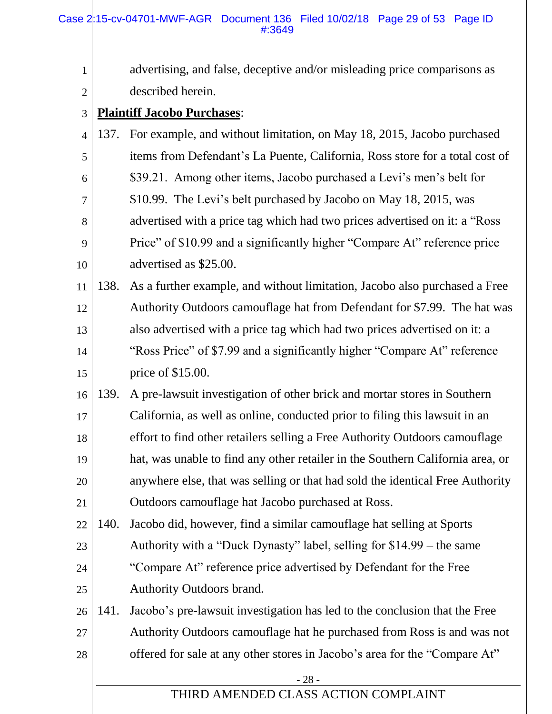1

2

3

4

5

6

7

8

9

10

11

12

13

14

15

|      | advertising, and false, deceptive and/or misleading price comparisons as        |
|------|---------------------------------------------------------------------------------|
|      | described herein.                                                               |
|      | <b>Plaintiff Jacobo Purchases:</b>                                              |
| 137. | For example, and without limitation, on May 18, 2015, Jacobo purchased          |
|      | items from Defendant's La Puente, California, Ross store for a total cost of    |
|      | \$39.21. Among other items, Jacobo purchased a Levi's men's belt for            |
|      | \$10.99. The Levi's belt purchased by Jacobo on May 18, 2015, was               |
|      | advertised with a price tag which had two prices advertised on it: a "Ross"     |
|      | Price" of \$10.99 and a significantly higher "Compare At" reference price       |
|      | advertised as \$25.00.                                                          |
| 138. | As a further example, and without limitation, Jacobo also purchased a Free      |
|      | Authority Outdoors camouflage hat from Defendant for \$7.99. The hat was        |
|      | also advertised with a price tag which had two prices advertised on it: a       |
|      | "Ross Price" of \$7.99 and a significantly higher "Compare At" reference        |
|      | price of \$15.00.                                                               |
| 120  | <u>A</u> are loweuit investigation of other briek and morter stores in Couthorn |

16 17 18 19 20 21 139. A pre-lawsuit investigation of other brick and mortar stores in Southern California, as well as online, conducted prior to filing this lawsuit in an effort to find other retailers selling a Free Authority Outdoors camouflage hat, was unable to find any other retailer in the Southern California area, or anywhere else, that was selling or that had sold the identical Free Authority Outdoors camouflage hat Jacobo purchased at Ross.

22 23 24 25 140. Jacobo did, however, find a similar camouflage hat selling at Sports Authority with a "Duck Dynasty" label, selling for \$14.99 – the same "Compare At" reference price advertised by Defendant for the Free Authority Outdoors brand.

26 27 28 141. Jacobo's pre-lawsuit investigation has led to the conclusion that the Free Authority Outdoors camouflage hat he purchased from Ross is and was not offered for sale at any other stores in Jacobo's area for the "Compare At"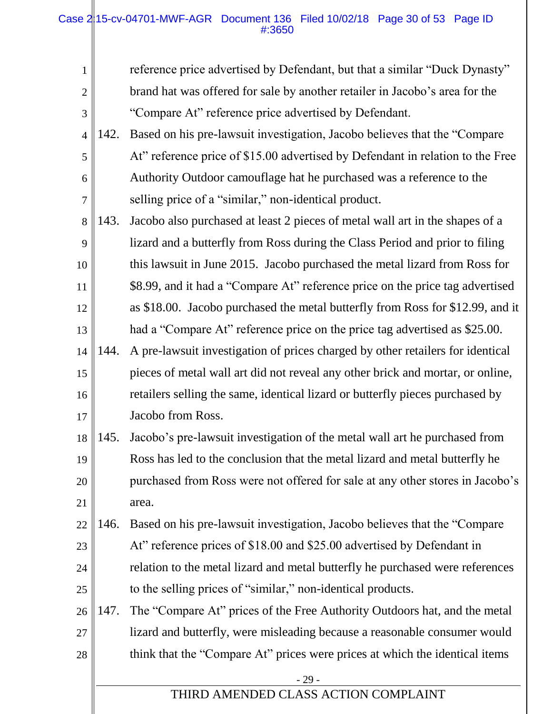#### Case 215-cv-04701-MWF-AGR Document 136 Filed 10/02/18 Page 30 of 53 Page ID #:3650

| 1              |      | reference price advertised by Defendant, but that a similar "Duck Dynasty"     |
|----------------|------|--------------------------------------------------------------------------------|
| $\overline{2}$ |      | brand hat was offered for sale by another retailer in Jacobo's area for the    |
| 3              |      | "Compare At" reference price advertised by Defendant.                          |
| $\overline{4}$ | 142. | Based on his pre-lawsuit investigation, Jacobo believes that the "Compare"     |
| 5              |      | At" reference price of \$15.00 advertised by Defendant in relation to the Free |
| 6              |      | Authority Outdoor camouflage hat he purchased was a reference to the           |
| $\overline{7}$ |      | selling price of a "similar," non-identical product.                           |
| 8              | 143. | Jacobo also purchased at least 2 pieces of metal wall art in the shapes of a   |
| 9              |      | lizard and a butterfly from Ross during the Class Period and prior to filing   |
| 10             |      | this lawsuit in June 2015. Jacobo purchased the metal lizard from Ross for     |
| 11             |      | \$8.99, and it had a "Compare At" reference price on the price tag advertised  |
| 12             |      | as \$18.00. Jacobo purchased the metal butterfly from Ross for \$12.99, and it |
| 13             |      | had a "Compare At" reference price on the price tag advertised as \$25.00.     |
| 14             | 144. | A pre-lawsuit investigation of prices charged by other retailers for identical |
| 15             |      | pieces of metal wall art did not reveal any other brick and mortar, or online, |
| 16             |      | retailers selling the same, identical lizard or butterfly pieces purchased by  |
| 17             |      | Jacobo from Ross.                                                              |
| 18             | 145. | Jacobo's pre-lawsuit investigation of the metal wall art he purchased from     |
| 19             |      | Ross has led to the conclusion that the metal lizard and metal butterfly he    |
| 20             |      | purchased from Ross were not offered for sale at any other stores in Jacobo's  |
| 21             |      | area.                                                                          |
| 22             | 146. | Based on his pre-lawsuit investigation, Jacobo believes that the "Compare"     |
| 23             |      | At" reference prices of \$18.00 and \$25.00 advertised by Defendant in         |
| 24             |      | relation to the metal lizard and metal butterfly he purchased were references  |
| 25             |      | to the selling prices of "similar," non-identical products.                    |
| 26             | 147. | The "Compare At" prices of the Free Authority Outdoors hat, and the metal      |
| 27             |      | lizard and butterfly, were misleading because a reasonable consumer would      |
| 28             |      | think that the "Compare At" prices were prices at which the identical items    |
|                |      | - 29 -<br>THIRD AMENDED CLASS ACTION COMPLAINT                                 |
|                |      |                                                                                |
|                |      |                                                                                |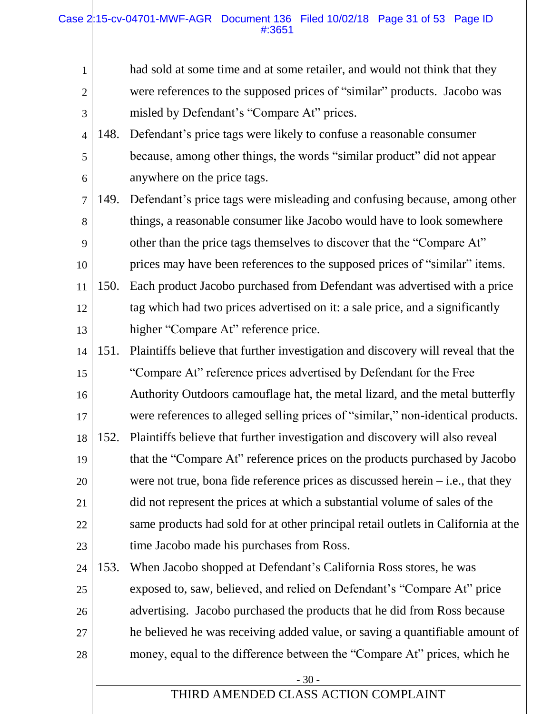#### Case 215-cv-04701-MWF-AGR Document 136 Filed 10/02/18 Page 31 of 53 Page ID #:3651

| $\mathbf{1}$   |      | had sold at some time and at some retailer, and would not think that they         |
|----------------|------|-----------------------------------------------------------------------------------|
| $\overline{2}$ |      | were references to the supposed prices of "similar" products. Jacobo was          |
| 3              |      | misled by Defendant's "Compare At" prices.                                        |
| $\overline{4}$ | 148. | Defendant's price tags were likely to confuse a reasonable consumer               |
| 5              |      | because, among other things, the words "similar product" did not appear           |
| 6              |      | anywhere on the price tags.                                                       |
| $\tau$         | 149. | Defendant's price tags were misleading and confusing because, among other         |
| 8              |      | things, a reasonable consumer like Jacobo would have to look somewhere            |
| 9              |      | other than the price tags themselves to discover that the "Compare At"            |
| 10             |      | prices may have been references to the supposed prices of "similar" items.        |
| 11             | 150. | Each product Jacobo purchased from Defendant was advertised with a price          |
| 12             |      | tag which had two prices advertised on it: a sale price, and a significantly      |
| 13             |      | higher "Compare At" reference price.                                              |
| 14             | 151. | Plaintiffs believe that further investigation and discovery will reveal that the  |
| 15             |      | "Compare At" reference prices advertised by Defendant for the Free                |
| 16             |      | Authority Outdoors camouflage hat, the metal lizard, and the metal butterfly      |
| 17             |      | were references to alleged selling prices of "similar," non-identical products.   |
| 18             | 152. | Plaintiffs believe that further investigation and discovery will also reveal      |
| 19             |      | that the "Compare At" reference prices on the products purchased by Jacobo        |
| 20             |      | were not true, bona fide reference prices as discussed herein $-$ i.e., that they |
| 21             |      | did not represent the prices at which a substantial volume of sales of the        |
| 22             |      | same products had sold for at other principal retail outlets in California at the |
| 23             |      | time Jacobo made his purchases from Ross.                                         |
| 24             | 153. | When Jacobo shopped at Defendant's California Ross stores, he was                 |
| 25             |      | exposed to, saw, believed, and relied on Defendant's "Compare At" price           |
| 26             |      | advertising. Jacobo purchased the products that he did from Ross because          |
| 27             |      | he believed he was receiving added value, or saving a quantifiable amount of      |
| 28             |      | money, equal to the difference between the "Compare At" prices, which he          |
|                |      | $-30-$                                                                            |
|                |      | THIRD AMENDED CLASS ACTION COMPLAINT                                              |
|                |      |                                                                                   |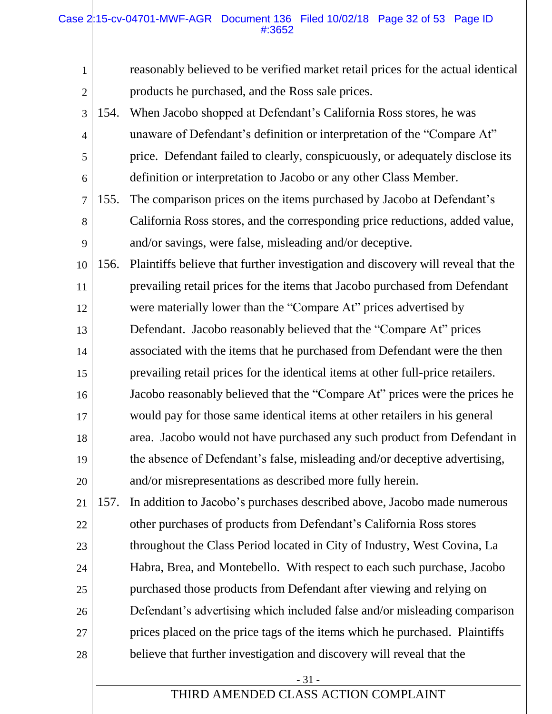#### Case 215-cv-04701-MWF-AGR Document 136 Filed 10/02/18 Page 32 of 53 Page ID #:3652

| $\mathbf{1}$   |      | reasonably believed to be verified market retail prices for the actual identical |
|----------------|------|----------------------------------------------------------------------------------|
| $\overline{2}$ |      | products he purchased, and the Ross sale prices.                                 |
| 3              | 154. | When Jacobo shopped at Defendant's California Ross stores, he was                |
| $\overline{4}$ |      | unaware of Defendant's definition or interpretation of the "Compare At"          |
| 5              |      | price. Defendant failed to clearly, conspicuously, or adequately disclose its    |
| 6              |      | definition or interpretation to Jacobo or any other Class Member.                |
| 7              | 155. | The comparison prices on the items purchased by Jacobo at Defendant's            |
| 8              |      | California Ross stores, and the corresponding price reductions, added value,     |
| 9              |      | and/or savings, were false, misleading and/or deceptive.                         |
| 10             | 156. | Plaintiffs believe that further investigation and discovery will reveal that the |
| 11             |      | prevailing retail prices for the items that Jacobo purchased from Defendant      |
| 12             |      | were materially lower than the "Compare At" prices advertised by                 |
| 13             |      | Defendant. Jacobo reasonably believed that the "Compare At" prices               |
| 14             |      | associated with the items that he purchased from Defendant were the then         |
| 15             |      | prevailing retail prices for the identical items at other full-price retailers.  |
| 16             |      | Jacobo reasonably believed that the "Compare At" prices were the prices he       |
| 17             |      | would pay for those same identical items at other retailers in his general       |
| 18             |      | area. Jacobo would not have purchased any such product from Defendant in         |
| 19             |      | the absence of Defendant's false, misleading and/or deceptive advertising,       |
| 20             |      | and/or misrepresentations as described more fully herein.                        |
| 21             | 157. | In addition to Jacobo's purchases described above, Jacobo made numerous          |
| 22             |      | other purchases of products from Defendant's California Ross stores              |
| 23             |      | throughout the Class Period located in City of Industry, West Covina, La         |
| 24             |      | Habra, Brea, and Montebello. With respect to each such purchase, Jacobo          |
| 25             |      | purchased those products from Defendant after viewing and relying on             |
| 26             |      | Defendant's advertising which included false and/or misleading comparison        |
| 27             |      | prices placed on the price tags of the items which he purchased. Plaintiffs      |
| 28             |      | believe that further investigation and discovery will reveal that the            |
|                |      | $-31-$                                                                           |
|                |      | THIRD AMENDED CLASS ACTION COMPLAINT                                             |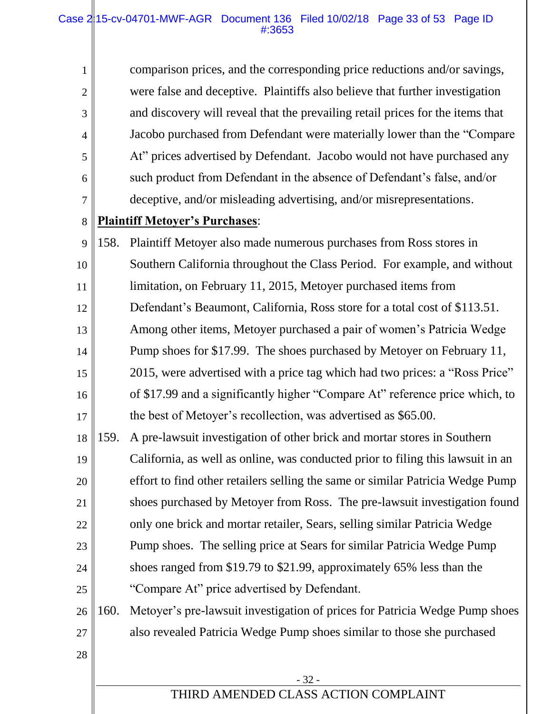#### Case 215-cv-04701-MWF-AGR Document 136 Filed 10/02/18 Page 33 of 53 Page ID #:3653

| $\mathbf{1}$   |      | comparison prices, and the corresponding price reductions and/or savings,       |
|----------------|------|---------------------------------------------------------------------------------|
| $\overline{2}$ |      | were false and deceptive. Plaintiffs also believe that further investigation    |
| 3              |      | and discovery will reveal that the prevailing retail prices for the items that  |
| $\overline{4}$ |      | Jacobo purchased from Defendant were materially lower than the "Compare"        |
| 5              |      | At" prices advertised by Defendant. Jacobo would not have purchased any         |
| 6              |      | such product from Defendant in the absence of Defendant's false, and/or         |
| 7              |      | deceptive, and/or misleading advertising, and/or misrepresentations.            |
| 8              |      | <b>Plaintiff Metoyer's Purchases:</b>                                           |
| 9              | 158. | Plaintiff Metoyer also made numerous purchases from Ross stores in              |
| 10             |      | Southern California throughout the Class Period. For example, and without       |
| 11             |      | limitation, on February 11, 2015, Metoyer purchased items from                  |
| 12             |      | Defendant's Beaumont, California, Ross store for a total cost of \$113.51.      |
| 13             |      | Among other items, Metoyer purchased a pair of women's Patricia Wedge           |
| 14             |      | Pump shoes for \$17.99. The shoes purchased by Metoyer on February 11,          |
| 15             |      | 2015, were advertised with a price tag which had two prices: a "Ross Price"     |
| 16             |      | of \$17.99 and a significantly higher "Compare At" reference price which, to    |
| 17             |      | the best of Metoyer's recollection, was advertised as \$65.00.                  |
| 18             | 159. | A pre-lawsuit investigation of other brick and mortar stores in Southern        |
| 19             |      | California, as well as online, was conducted prior to filing this lawsuit in an |
| 20             |      | effort to find other retailers selling the same or similar Patricia Wedge Pump  |
| 21             |      | shoes purchased by Metoyer from Ross. The pre-lawsuit investigation found       |
| 22             |      | only one brick and mortar retailer, Sears, selling similar Patricia Wedge       |
| 23             |      | Pump shoes. The selling price at Sears for similar Patricia Wedge Pump          |
| 24             |      | shoes ranged from \$19.79 to \$21.99, approximately 65% less than the           |
| 25             |      | "Compare At" price advertised by Defendant.                                     |
| 26             | 160. | Metoyer's pre-lawsuit investigation of prices for Patricia Wedge Pump shoes     |
| 27             |      | also revealed Patricia Wedge Pump shoes similar to those she purchased          |
| 28             |      |                                                                                 |
|                |      | $-32-$                                                                          |
|                |      |                                                                                 |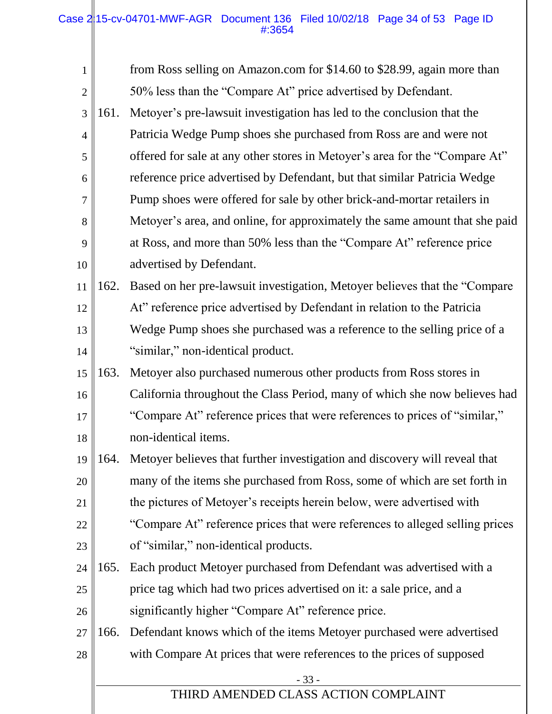| $\mathbf{1}$   |      | from Ross selling on Amazon.com for \$14.60 to \$28.99, again more than      |
|----------------|------|------------------------------------------------------------------------------|
| $\overline{2}$ |      | 50% less than the "Compare At" price advertised by Defendant.                |
| 3              | 161. | Metoyer's pre-lawsuit investigation has led to the conclusion that the       |
| $\overline{4}$ |      | Patricia Wedge Pump shoes she purchased from Ross are and were not           |
| 5              |      | offered for sale at any other stores in Metoyer's area for the "Compare At"  |
| 6              |      | reference price advertised by Defendant, but that similar Patricia Wedge     |
| 7              |      | Pump shoes were offered for sale by other brick-and-mortar retailers in      |
| 8              |      | Metoyer's area, and online, for approximately the same amount that she paid  |
| 9              |      | at Ross, and more than 50% less than the "Compare At" reference price        |
| 10             |      | advertised by Defendant.                                                     |
| 11             | 162. | Based on her pre-lawsuit investigation, Metoyer believes that the "Compare   |
| 12             |      | At" reference price advertised by Defendant in relation to the Patricia      |
| 13             |      | Wedge Pump shoes she purchased was a reference to the selling price of a     |
| 14             |      | "similar," non-identical product.                                            |
| 15             | 163. | Metoyer also purchased numerous other products from Ross stores in           |
| 16             |      | California throughout the Class Period, many of which she now believes had   |
| 17             |      | "Compare At" reference prices that were references to prices of "similar,"   |
| 18             |      | non-identical items.                                                         |
| 19             | 164. | Metoyer believes that further investigation and discovery will reveal that   |
| 20             |      | many of the items she purchased from Ross, some of which are set forth in    |
| 21             |      | the pictures of Metoyer's receipts herein below, were advertised with        |
| 22             |      | "Compare At" reference prices that were references to alleged selling prices |
| 23             |      | of "similar," non-identical products.                                        |
| 24             | 165. | Each product Metoyer purchased from Defendant was advertised with a          |
| 25             |      | price tag which had two prices advertised on it: a sale price, and a         |
| 26             |      | significantly higher "Compare At" reference price.                           |
| 27             | 166. | Defendant knows which of the items Metoyer purchased were advertised         |
| 28             |      | with Compare At prices that were references to the prices of supposed        |
|                |      | $-33-$                                                                       |
|                |      | THIRD AMENDED CLASS ACTION COMPLAINT                                         |
|                |      |                                                                              |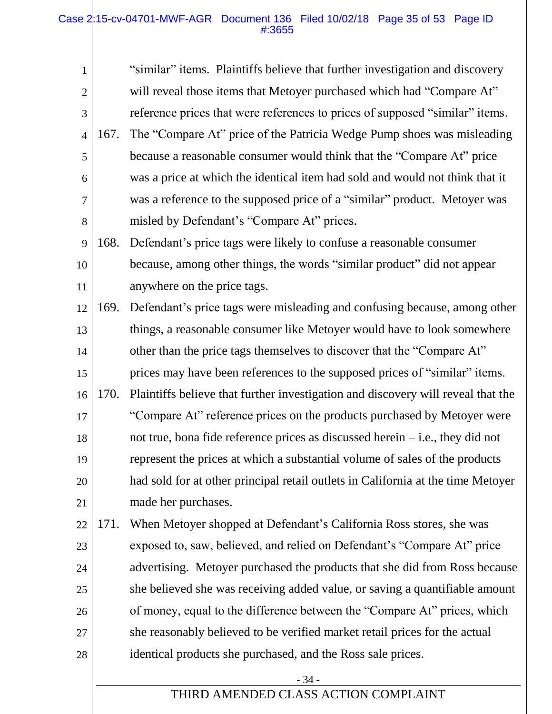#### Case  $2/15$ -cv-04701-MWF-AGR Document 136 Filed 10/02/18 Page 35 of 53 Page ID #:3655

| $\mathbf{1}$   |      | "similar" items. Plaintiffs believe that further investigation and discovery |
|----------------|------|------------------------------------------------------------------------------|
| 2              |      | will reveal those items that Metoyer purchased which had "Compare At"        |
| 3              |      | reference prices that were references to prices of supposed "similar" items. |
|                | 167. | The "Compare At" price of the Patricia Wedge Pump shoes was misleading       |
| $\overline{5}$ |      | because a reasonable consumer would think that the "Compare At" price        |
| 6              |      | was a price at which the identical item had sold and would not think that it |
| $\overline{7}$ |      | was a reference to the supposed price of a "similar" product. Metoyer was    |
| 8              |      | misled by Defendant's "Compare At" prices.                                   |
|                |      |                                                                              |

- 9 10 11 168. Defendant's price tags were likely to confuse a reasonable consumer because, among other things, the words "similar product" did not appear anywhere on the price tags.
- 12 13 14 15 16 17 18 19 20 21 169. Defendant's price tags were misleading and confusing because, among other things, a reasonable consumer like Metoyer would have to look somewhere other than the price tags themselves to discover that the "Compare At" prices may have been references to the supposed prices of "similar" items. 170. Plaintiffs believe that further investigation and discovery will reveal that the "Compare At" reference prices on the products purchased by Metoyer were not true, bona fide reference prices as discussed herein – i.e., they did not represent the prices at which a substantial volume of sales of the products had sold for at other principal retail outlets in California at the time Metoyer made her purchases.
- 22 23 24 25 26 27 28 171. When Metoyer shopped at Defendant's California Ross stores, she was exposed to, saw, believed, and relied on Defendant's "Compare At" price advertising. Metoyer purchased the products that she did from Ross because she believed she was receiving added value, or saving a quantifiable amount of money, equal to the difference between the "Compare At" prices, which she reasonably believed to be verified market retail prices for the actual identical products she purchased, and the Ross sale prices.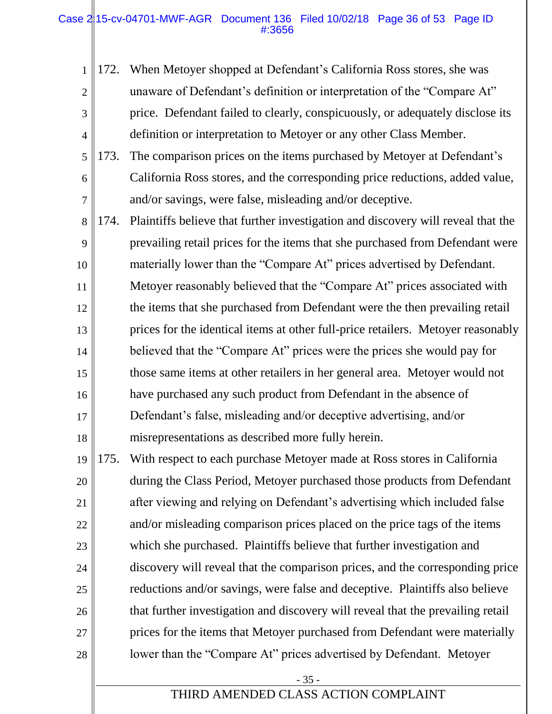#### Case 215-cv-04701-MWF-AGR Document 136 Filed 10/02/18 Page 36 of 53 Page ID #:3656

| $\mathbf{1}$   | 172. | When Metoyer shopped at Defendant's California Ross stores, she was              |
|----------------|------|----------------------------------------------------------------------------------|
| $\overline{2}$ |      | unaware of Defendant's definition or interpretation of the "Compare At"          |
| 3              |      | price. Defendant failed to clearly, conspicuously, or adequately disclose its    |
| $\overline{4}$ |      | definition or interpretation to Metoyer or any other Class Member.               |
| 5              | 173. | The comparison prices on the items purchased by Metoyer at Defendant's           |
| 6              |      | California Ross stores, and the corresponding price reductions, added value,     |
| $\overline{7}$ |      | and/or savings, were false, misleading and/or deceptive.                         |
| 8              | 174. | Plaintiffs believe that further investigation and discovery will reveal that the |
| 9              |      | prevailing retail prices for the items that she purchased from Defendant were    |
| 10             |      | materially lower than the "Compare At" prices advertised by Defendant.           |
| 11             |      | Metoyer reasonably believed that the "Compare At" prices associated with         |
| 12             |      | the items that she purchased from Defendant were the then prevailing retail      |
| 13             |      | prices for the identical items at other full-price retailers. Metoyer reasonably |
| 14             |      | believed that the "Compare At" prices were the prices she would pay for          |
| 15             |      | those same items at other retailers in her general area. Metoyer would not       |
| 16             |      | have purchased any such product from Defendant in the absence of                 |
| 17             |      | Defendant's false, misleading and/or deceptive advertising, and/or               |
| 18             |      | misrepresentations as described more fully herein.                               |
| 19             | 175. | With respect to each purchase Metoyer made at Ross stores in California          |
| 20             |      | during the Class Period, Metoyer purchased those products from Defendant         |
| 21             |      | after viewing and relying on Defendant's advertising which included false        |
| 22             |      | and/or misleading comparison prices placed on the price tags of the items        |
| 23             |      | which she purchased. Plaintiffs believe that further investigation and           |
| 24             |      | discovery will reveal that the comparison prices, and the corresponding price    |
| 25             |      | reductions and/or savings, were false and deceptive. Plaintiffs also believe     |
| 26             |      | that further investigation and discovery will reveal that the prevailing retail  |
| 27             |      | prices for the items that Metoyer purchased from Defendant were materially       |
| 28             |      | lower than the "Compare At" prices advertised by Defendant. Metoyer              |
|                |      | $-35-$                                                                           |
|                |      | THIRD AMENDED CLASS ACTION COMPLAINT                                             |
|                |      |                                                                                  |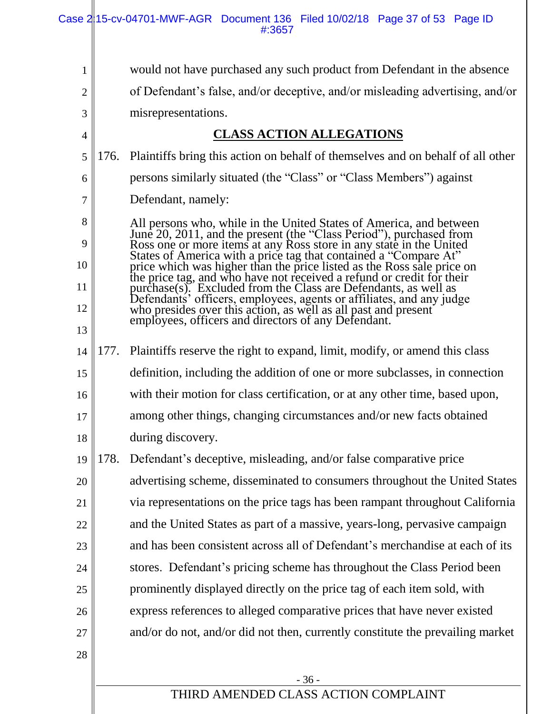|                |      | Case 215-cv-04701-MWF-AGR Document 136 Filed 10/02/18 Page 37 of 53 Page ID<br>#:3657                                                                                                                                                  |
|----------------|------|----------------------------------------------------------------------------------------------------------------------------------------------------------------------------------------------------------------------------------------|
| 1              |      | would not have purchased any such product from Defendant in the absence                                                                                                                                                                |
| $\overline{2}$ |      | of Defendant's false, and/or deceptive, and/or misleading advertising, and/or                                                                                                                                                          |
| $\mathfrak{Z}$ |      | misrepresentations.                                                                                                                                                                                                                    |
| $\overline{4}$ |      | <b>CLASS ACTION ALLEGATIONS</b>                                                                                                                                                                                                        |
| 5              | 176. | Plaintiffs bring this action on behalf of themselves and on behalf of all other                                                                                                                                                        |
| 6              |      | persons similarly situated (the "Class" or "Class Members") against                                                                                                                                                                    |
| 7              |      | Defendant, namely:                                                                                                                                                                                                                     |
| 8              |      |                                                                                                                                                                                                                                        |
| 9              |      |                                                                                                                                                                                                                                        |
| 10             |      | All persons who, while in the United States of America, and between<br>June 20, 2011, and the present (the "Class Period"), purchased from<br>Ross one or more items at any Ross store in any state in the United<br>States of America |
| 11             |      |                                                                                                                                                                                                                                        |
| 12             |      | Defendants' officers, employees, agents or affiliates, and any judge<br>who presides over this action, as well as all past and present                                                                                                 |
| 13             |      | employees, officers and directors of any Defendant.                                                                                                                                                                                    |
| 14             | 177. | Plaintiffs reserve the right to expand, limit, modify, or amend this class                                                                                                                                                             |
| 15             |      | definition, including the addition of one or more subclasses, in connection                                                                                                                                                            |
| 16             |      | with their motion for class certification, or at any other time, based upon,                                                                                                                                                           |
| $17\,$         |      | among other things, changing circumstances and/or new facts obtained                                                                                                                                                                   |
| 18             |      | during discovery.                                                                                                                                                                                                                      |
| 19             | 178. | Defendant's deceptive, misleading, and/or false comparative price                                                                                                                                                                      |
| 20             |      | advertising scheme, disseminated to consumers throughout the United States                                                                                                                                                             |
| 21             |      | via representations on the price tags has been rampant throughout California                                                                                                                                                           |
| 22             |      | and the United States as part of a massive, years-long, pervasive campaign                                                                                                                                                             |
| 23             |      | and has been consistent across all of Defendant's merchandise at each of its                                                                                                                                                           |
| 24             |      | stores. Defendant's pricing scheme has throughout the Class Period been                                                                                                                                                                |
| $25\,$         |      | prominently displayed directly on the price tag of each item sold, with                                                                                                                                                                |
| 26             |      | express references to alleged comparative prices that have never existed                                                                                                                                                               |
| 27             |      | and/or do not, and/or did not then, currently constitute the prevailing market                                                                                                                                                         |
| 28             |      |                                                                                                                                                                                                                                        |
|                |      | $-36-$                                                                                                                                                                                                                                 |
|                |      | THIRD AMENDED CLASS ACTION COMPLAINT                                                                                                                                                                                                   |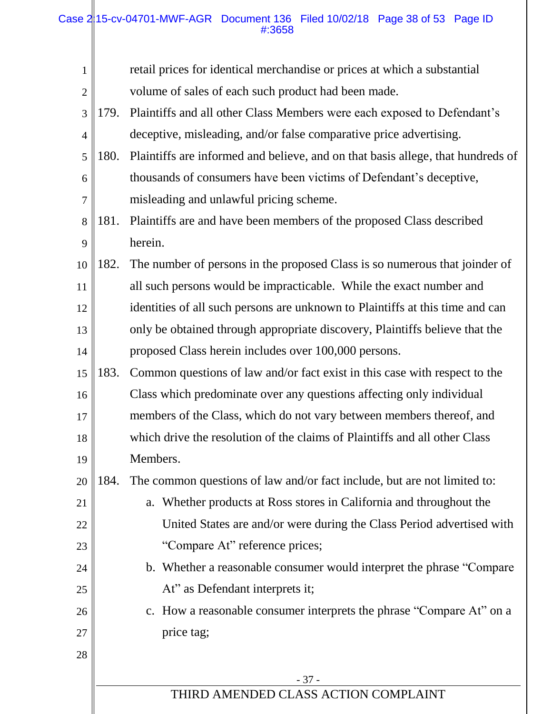#### Case 215-cv-04701-MWF-AGR Document 136 Filed 10/02/18 Page 38 of 53 Page ID #:3658

| $\mathbf{1}$   |      | retail prices for identical merchandise or prices at which a substantial        |
|----------------|------|---------------------------------------------------------------------------------|
| $\mathbf{2}$   |      | volume of sales of each such product had been made.                             |
| 3              | 179. | Plaintiffs and all other Class Members were each exposed to Defendant's         |
| $\overline{4}$ |      | deceptive, misleading, and/or false comparative price advertising.              |
| 5              | 180. | Plaintiffs are informed and believe, and on that basis allege, that hundreds of |
| 6              |      | thousands of consumers have been victims of Defendant's deceptive,              |
| 7              |      | misleading and unlawful pricing scheme.                                         |
| 8              | 181. | Plaintiffs are and have been members of the proposed Class described            |
| 9              |      | herein.                                                                         |
| 10             | 182. | The number of persons in the proposed Class is so numerous that joinder of      |
| 11             |      | all such persons would be impracticable. While the exact number and             |
| 12             |      | identities of all such persons are unknown to Plaintiffs at this time and can   |
| 13             |      | only be obtained through appropriate discovery, Plaintiffs believe that the     |
| 14             |      | proposed Class herein includes over 100,000 persons.                            |
| 15             | 183. | Common questions of law and/or fact exist in this case with respect to the      |
| 16             |      | Class which predominate over any questions affecting only individual            |
| 17             |      | members of the Class, which do not vary between members thereof, and            |
| 18             |      | which drive the resolution of the claims of Plaintiffs and all other Class      |
| 19             |      | Members.                                                                        |
| 20             | 184. | The common questions of law and/or fact include, but are not limited to:        |
| 21             |      | a. Whether products at Ross stores in California and throughout the             |
| 22             |      | United States are and/or were during the Class Period advertised with           |
| 23             |      | "Compare At" reference prices;                                                  |
| 24             |      | b. Whether a reasonable consumer would interpret the phrase "Compare"           |
| 25             |      | At" as Defendant interprets it;                                                 |
| 26             |      | c. How a reasonable consumer interprets the phrase "Compare At" on a            |
| 27             |      | price tag;                                                                      |
| 28             |      |                                                                                 |
|                |      | $-37-$                                                                          |
|                |      | THIRD AMENDED CLASS ACTION COMPLAINT                                            |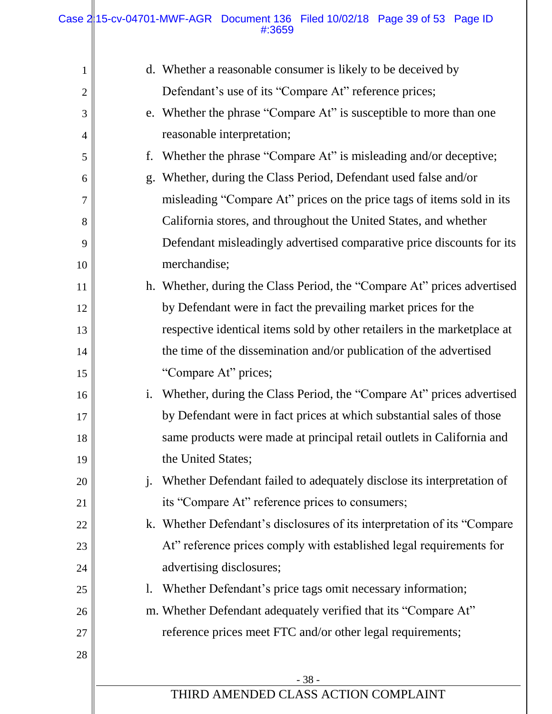| $\mathbf{1}$   |                | d. Whether a reasonable consumer is likely to be deceived by              |
|----------------|----------------|---------------------------------------------------------------------------|
| $\overline{2}$ |                | Defendant's use of its "Compare At" reference prices;                     |
| 3              |                | e. Whether the phrase "Compare At" is susceptible to more than one        |
| $\overline{4}$ |                | reasonable interpretation;                                                |
| 5              | f.             | Whether the phrase "Compare At" is misleading and/or deceptive;           |
| 6              | $g_{\cdot}$    | Whether, during the Class Period, Defendant used false and/or             |
| 7              |                | misleading "Compare At" prices on the price tags of items sold in its     |
| 8              |                | California stores, and throughout the United States, and whether          |
| 9              |                | Defendant misleadingly advertised comparative price discounts for its     |
| 10             |                | merchandise;                                                              |
| 11             |                | h. Whether, during the Class Period, the "Compare At" prices advertised   |
| 12             |                | by Defendant were in fact the prevailing market prices for the            |
| 13             |                | respective identical items sold by other retailers in the marketplace at  |
| 14             |                | the time of the dissemination and/or publication of the advertised        |
| 15             |                | "Compare At" prices;                                                      |
| 16             | $\mathbf{1}$ . | Whether, during the Class Period, the "Compare At" prices advertised      |
| 17             |                | by Defendant were in fact prices at which substantial sales of those      |
| 18             |                | same products were made at principal retail outlets in California and     |
| 19             |                | the United States;                                                        |
| 20             | $\cdot$        | Whether Defendant failed to adequately disclose its interpretation of     |
| 21             |                | its "Compare At" reference prices to consumers;                           |
| 22             |                | k. Whether Defendant's disclosures of its interpretation of its "Compare" |
| 23             |                | At" reference prices comply with established legal requirements for       |
| 24             |                | advertising disclosures;                                                  |
| 25             | 1.             | Whether Defendant's price tags omit necessary information;                |
| 26             |                | m. Whether Defendant adequately verified that its "Compare At"            |
| 27             |                | reference prices meet FTC and/or other legal requirements;                |
| 28             |                |                                                                           |
|                |                | $-38-$                                                                    |
|                |                | THIRD AMENDED CLASS ACTION COMPLAINT                                      |
|                |                |                                                                           |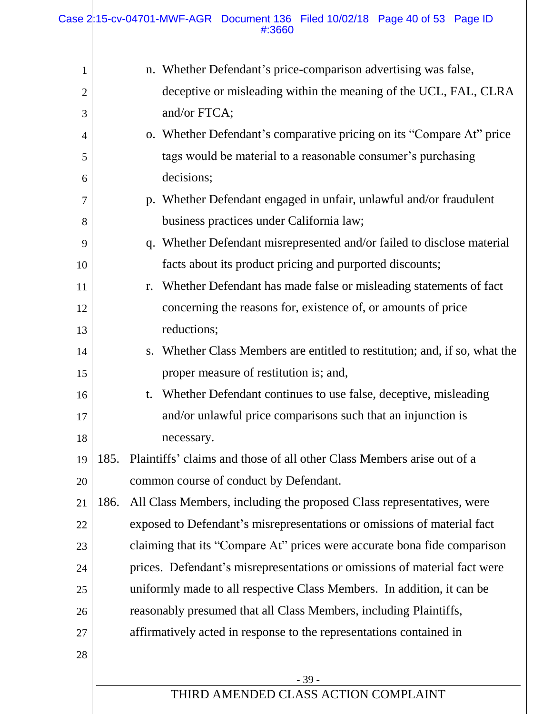Ш

| 1              |      | n. Whether Defendant's price-comparison advertising was false,                |
|----------------|------|-------------------------------------------------------------------------------|
| $\overline{2}$ |      | deceptive or misleading within the meaning of the UCL, FAL, CLRA              |
| 3              |      | and/or FTCA;                                                                  |
| $\overline{4}$ |      | o. Whether Defendant's comparative pricing on its "Compare At" price          |
| 5              |      | tags would be material to a reasonable consumer's purchasing                  |
| 6              |      | decisions;                                                                    |
| 7              |      | p. Whether Defendant engaged in unfair, unlawful and/or fraudulent            |
| 8              |      | business practices under California law;                                      |
| 9              |      | q. Whether Defendant misrepresented and/or failed to disclose material        |
| 10             |      | facts about its product pricing and purported discounts;                      |
| 11             |      | Whether Defendant has made false or misleading statements of fact<br>r.       |
| 12             |      | concerning the reasons for, existence of, or amounts of price                 |
| 13             |      | reductions;                                                                   |
| 14             |      | Whether Class Members are entitled to restitution; and, if so, what the<br>S. |
| 15             |      | proper measure of restitution is; and,                                        |
| 16             |      | Whether Defendant continues to use false, deceptive, misleading<br>t.         |
| 17             |      | and/or unlawful price comparisons such that an injunction is                  |
| 18             |      | necessary.                                                                    |
| 19             | 185. | Plaintiffs' claims and those of all other Class Members arise out of a        |
| 20             |      | common course of conduct by Defendant.                                        |
| 21             | 186. | All Class Members, including the proposed Class representatives, were         |
| 22             |      | exposed to Defendant's misrepresentations or omissions of material fact       |
| 23             |      | claiming that its "Compare At" prices were accurate bona fide comparison      |
| 24             |      | prices. Defendant's misrepresentations or omissions of material fact were     |
| 25             |      | uniformly made to all respective Class Members. In addition, it can be        |
| 26             |      | reasonably presumed that all Class Members, including Plaintiffs,             |
| 27             |      | affirmatively acted in response to the representations contained in           |
| 28             |      |                                                                               |
|                |      | $-39-$                                                                        |
|                |      | THIRD AMENDED CLASS ACTION COMPLAINT                                          |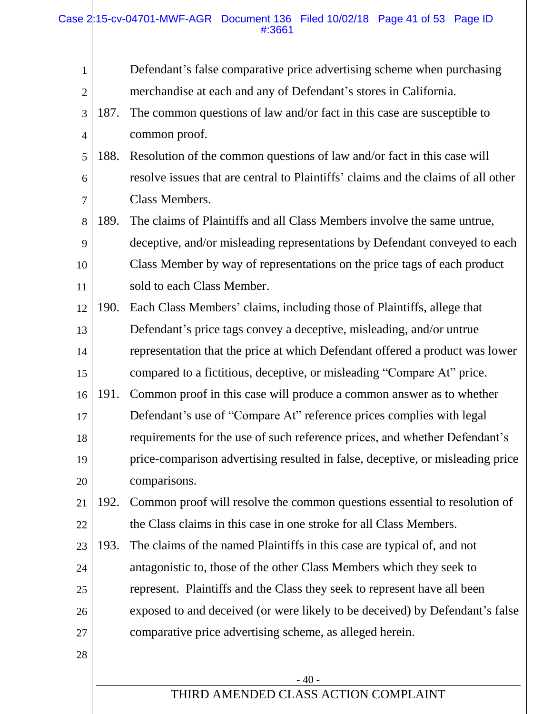|                |      | Case 215-cv-04701-MWF-AGR Document 136 Filed 10/02/18 Page 41 of 53 Page ID<br>#:3661 |
|----------------|------|---------------------------------------------------------------------------------------|
| $\mathbf{1}$   |      | Defendant's false comparative price advertising scheme when purchasing                |
| $\overline{2}$ |      | merchandise at each and any of Defendant's stores in California.                      |
| 3              | 187. | The common questions of law and/or fact in this case are susceptible to               |
| $\overline{4}$ |      | common proof.                                                                         |
| 5              | 188. | Resolution of the common questions of law and/or fact in this case will               |
| 6              |      | resolve issues that are central to Plaintiffs' claims and the claims of all other     |
| $\overline{7}$ |      | Class Members.                                                                        |
| 8              | 189. | The claims of Plaintiffs and all Class Members involve the same untrue,               |
| 9              |      | deceptive, and/or misleading representations by Defendant conveyed to each            |
| 10             |      | Class Member by way of representations on the price tags of each product              |
| 11             |      | sold to each Class Member.                                                            |
| 12             | 190. | Each Class Members' claims, including those of Plaintiffs, allege that                |
| 13             |      | Defendant's price tags convey a deceptive, misleading, and/or untrue                  |
| 14             |      | representation that the price at which Defendant offered a product was lower          |
| 15             |      | compared to a fictitious, deceptive, or misleading "Compare At" price.                |
| 16             | 191. | Common proof in this case will produce a common answer as to whether                  |
| 17             |      | Defendant's use of "Compare At" reference prices complies with legal                  |
| 18             |      | requirements for the use of such reference prices, and whether Defendant's            |
| 19             |      | price-comparison advertising resulted in false, deceptive, or misleading price        |

20 comparisons.

28

- 21 22 192. Common proof will resolve the common questions essential to resolution of the Class claims in this case in one stroke for all Class Members.
- 23 24 25 26 27 193. The claims of the named Plaintiffs in this case are typical of, and not antagonistic to, those of the other Class Members which they seek to represent. Plaintiffs and the Class they seek to represent have all been exposed to and deceived (or were likely to be deceived) by Defendant's false comparative price advertising scheme, as alleged herein.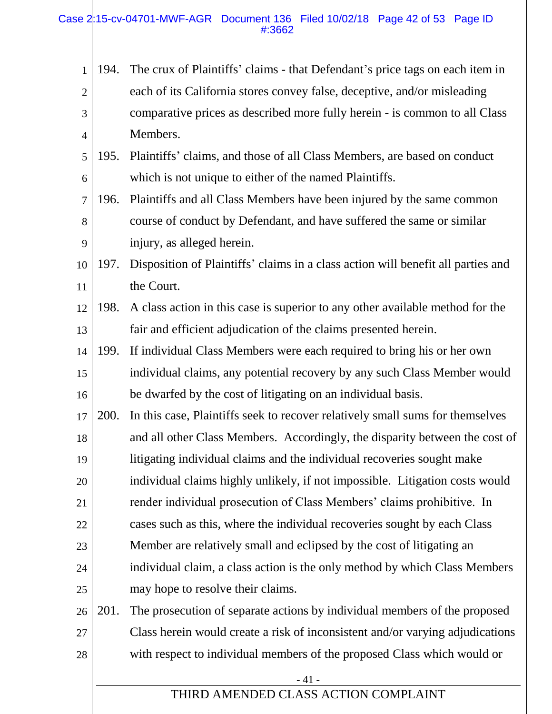| $\mathbf{1}$   | 194.        | The crux of Plaintiffs' claims - that Defendant's price tags on each item in     |
|----------------|-------------|----------------------------------------------------------------------------------|
| $\overline{2}$ |             | each of its California stores convey false, deceptive, and/or misleading         |
| 3              |             | comparative prices as described more fully herein - is common to all Class       |
| $\overline{4}$ |             | Members.                                                                         |
| 5              | 195.        | Plaintiffs' claims, and those of all Class Members, are based on conduct         |
| 6              |             | which is not unique to either of the named Plaintiffs.                           |
| 7              | 196.        | Plaintiffs and all Class Members have been injured by the same common            |
| 8              |             | course of conduct by Defendant, and have suffered the same or similar            |
| 9              |             | injury, as alleged herein.                                                       |
| 10             | 197.        | Disposition of Plaintiffs' claims in a class action will benefit all parties and |
| 11             |             | the Court.                                                                       |
| 12             | 198.        | A class action in this case is superior to any other available method for the    |
| 13             |             | fair and efficient adjudication of the claims presented herein.                  |
| 14             | 199.        | If individual Class Members were each required to bring his or her own           |
| 15             |             | individual claims, any potential recovery by any such Class Member would         |
| 16             |             | be dwarfed by the cost of litigating on an individual basis.                     |
| 17             | <b>200.</b> | In this case, Plaintiffs seek to recover relatively small sums for themselves    |
| 18             |             | and all other Class Members. Accordingly, the disparity between the cost of      |
| 19             |             | litigating individual claims and the individual recoveries sought make           |
| 20             |             | individual claims highly unlikely, if not impossible. Litigation costs would     |
| 21             |             | render individual prosecution of Class Members' claims prohibitive. In           |
| 22             |             | cases such as this, where the individual recoveries sought by each Class         |
| 23             |             | Member are relatively small and eclipsed by the cost of litigating an            |
| 24             |             | individual claim, a class action is the only method by which Class Members       |
| 25             |             | may hope to resolve their claims.                                                |
| 26             | 201.        | The prosecution of separate actions by individual members of the proposed        |
| 27             |             | Class herein would create a risk of inconsistent and/or varying adjudications    |
| 28             |             | with respect to individual members of the proposed Class which would or          |
|                |             | $-41-$                                                                           |
|                |             | THIRD AMENDED CLASS ACTION COMPLAINT                                             |
|                |             |                                                                                  |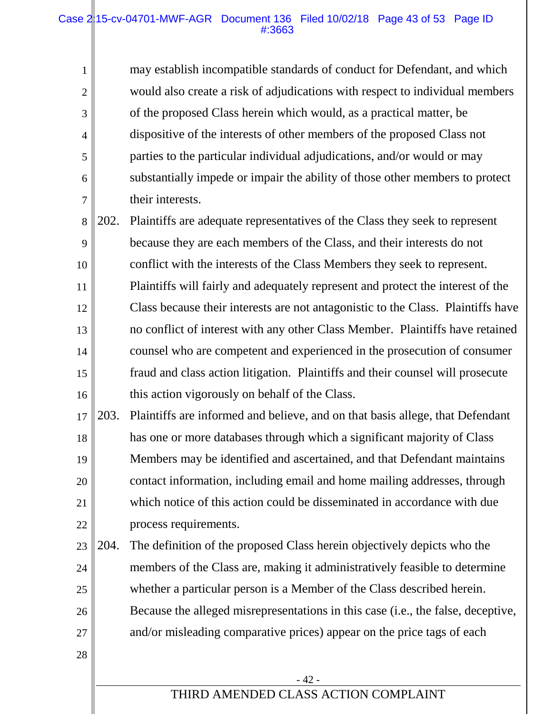#### Case  $2/15$ -cv-04701-MWF-AGR Document 136 Filed 10/02/18 Page 43 of 53 Page ID #:3663

1

2

3

4

5

6

7

28

may establish incompatible standards of conduct for Defendant, and which would also create a risk of adjudications with respect to individual members of the proposed Class herein which would, as a practical matter, be dispositive of the interests of other members of the proposed Class not parties to the particular individual adjudications, and/or would or may substantially impede or impair the ability of those other members to protect their interests.

8 9 10 11 12 13 14 15 16 202. Plaintiffs are adequate representatives of the Class they seek to represent because they are each members of the Class, and their interests do not conflict with the interests of the Class Members they seek to represent. Plaintiffs will fairly and adequately represent and protect the interest of the Class because their interests are not antagonistic to the Class. Plaintiffs have no conflict of interest with any other Class Member. Plaintiffs have retained counsel who are competent and experienced in the prosecution of consumer fraud and class action litigation. Plaintiffs and their counsel will prosecute this action vigorously on behalf of the Class.

17 18 19 20 21 22 203. Plaintiffs are informed and believe, and on that basis allege, that Defendant has one or more databases through which a significant majority of Class Members may be identified and ascertained, and that Defendant maintains contact information, including email and home mailing addresses, through which notice of this action could be disseminated in accordance with due process requirements.

23 24 25 26 27 204. The definition of the proposed Class herein objectively depicts who the members of the Class are, making it administratively feasible to determine whether a particular person is a Member of the Class described herein. Because the alleged misrepresentations in this case (i.e., the false, deceptive, and/or misleading comparative prices) appear on the price tags of each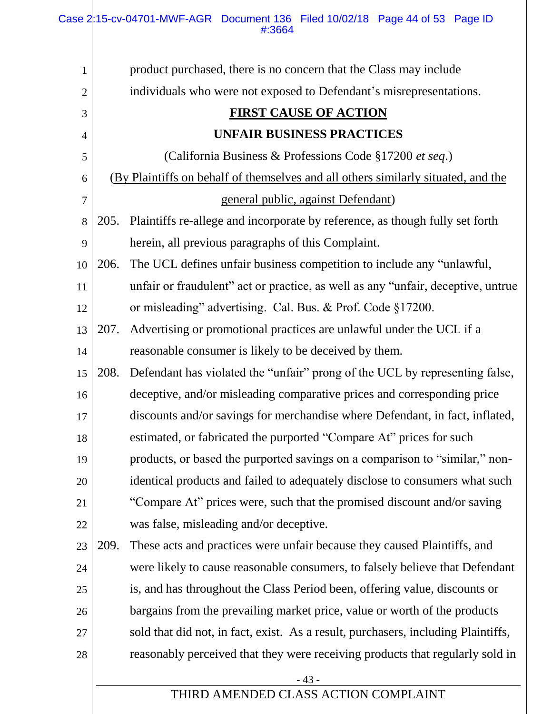| 1              |      | product purchased, there is no concern that the Class may include                 |
|----------------|------|-----------------------------------------------------------------------------------|
| $\overline{c}$ |      | individuals who were not exposed to Defendant's misrepresentations.               |
| 3              |      | <b>FIRST CAUSE OF ACTION</b>                                                      |
| 4              |      | <b>UNFAIR BUSINESS PRACTICES</b>                                                  |
| 5              |      | (California Business & Professions Code §17200 et seq.)                           |
| 6              |      | (By Plaintiffs on behalf of themselves and all others similarly situated, and the |
| 7              |      | general public, against Defendant)                                                |
| 8              | 205. | Plaintiffs re-allege and incorporate by reference, as though fully set forth      |
| 9              |      | herein, all previous paragraphs of this Complaint.                                |
| 10             | 206. | The UCL defines unfair business competition to include any "unlawful,             |
| 11             |      | unfair or fraudulent" act or practice, as well as any "unfair, deceptive, untrue  |
| 12             |      | or misleading" advertising. Cal. Bus. & Prof. Code §17200.                        |
| 13             | 207. | Advertising or promotional practices are unlawful under the UCL if a              |
| 14             |      | reasonable consumer is likely to be deceived by them.                             |
| 15             | 208. | Defendant has violated the "unfair" prong of the UCL by representing false,       |
| 16             |      | deceptive, and/or misleading comparative prices and corresponding price           |
| 17             |      | discounts and/or savings for merchandise where Defendant, in fact, inflated,      |
| 18             |      | estimated, or fabricated the purported "Compare At" prices for such               |
| 19             |      | products, or based the purported savings on a comparison to "similar," non-       |
| 20             |      | identical products and failed to adequately disclose to consumers what such       |
| 21             |      | "Compare At" prices were, such that the promised discount and/or saving           |
| 22             |      | was false, misleading and/or deceptive.                                           |
| 23             | 209. | These acts and practices were unfair because they caused Plaintiffs, and          |
| 24             |      | were likely to cause reasonable consumers, to falsely believe that Defendant      |
| 25             |      | is, and has throughout the Class Period been, offering value, discounts or        |
| 26             |      | bargains from the prevailing market price, value or worth of the products         |
| 27             |      | sold that did not, in fact, exist. As a result, purchasers, including Plaintiffs, |
| 28             |      | reasonably perceived that they were receiving products that regularly sold in     |
|                |      | $-43-$                                                                            |
|                |      | THIRD AMENDED CLASS ACTION COMPLAINT                                              |
|                |      |                                                                                   |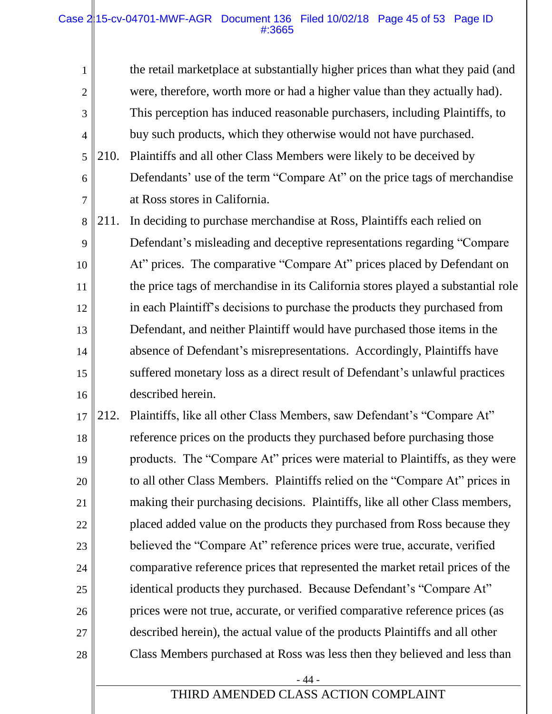#### Case 2|15-cv-04701-MWF-AGR Document 136 Filed 10/02/18 Page 45 of 53 Page ID #:3665

1

2

3

4

the retail marketplace at substantially higher prices than what they paid (and were, therefore, worth more or had a higher value than they actually had). This perception has induced reasonable purchasers, including Plaintiffs, to buy such products, which they otherwise would not have purchased.

- 5 6 7 210. Plaintiffs and all other Class Members were likely to be deceived by Defendants' use of the term "Compare At" on the price tags of merchandise at Ross stores in California.
- 8 9 10 11 12 13 14 15 16 211. In deciding to purchase merchandise at Ross, Plaintiffs each relied on Defendant's misleading and deceptive representations regarding "Compare At" prices. The comparative "Compare At" prices placed by Defendant on the price tags of merchandise in its California stores played a substantial role in each Plaintiff's decisions to purchase the products they purchased from Defendant, and neither Plaintiff would have purchased those items in the absence of Defendant's misrepresentations. Accordingly, Plaintiffs have suffered monetary loss as a direct result of Defendant's unlawful practices described herein.
- 17 18 19 20 21 22 23 24 25 26 27 28 212. Plaintiffs, like all other Class Members, saw Defendant's "Compare At" reference prices on the products they purchased before purchasing those products. The "Compare At" prices were material to Plaintiffs, as they were to all other Class Members. Plaintiffs relied on the "Compare At" prices in making their purchasing decisions. Plaintiffs, like all other Class members, placed added value on the products they purchased from Ross because they believed the "Compare At" reference prices were true, accurate, verified comparative reference prices that represented the market retail prices of the identical products they purchased. Because Defendant's "Compare At" prices were not true, accurate, or verified comparative reference prices (as described herein), the actual value of the products Plaintiffs and all other Class Members purchased at Ross was less then they believed and less than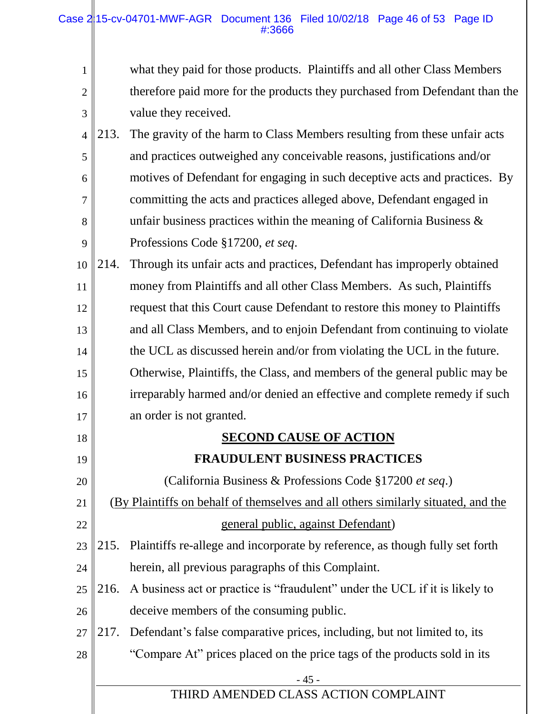| $\mathbf{1}$   |      | what they paid for those products. Plaintiffs and all other Class Members         |
|----------------|------|-----------------------------------------------------------------------------------|
| $\overline{2}$ |      | therefore paid more for the products they purchased from Defendant than the       |
| 3              |      | value they received.                                                              |
| $\overline{4}$ | 213. | The gravity of the harm to Class Members resulting from these unfair acts         |
| 5              |      | and practices outweighed any conceivable reasons, justifications and/or           |
| 6              |      | motives of Defendant for engaging in such deceptive acts and practices. By        |
| 7              |      | committing the acts and practices alleged above, Defendant engaged in             |
| 8              |      | unfair business practices within the meaning of California Business $\&$          |
| 9              |      | Professions Code §17200, et seq.                                                  |
| 10             | 214. | Through its unfair acts and practices, Defendant has improperly obtained          |
| 11             |      | money from Plaintiffs and all other Class Members. As such, Plaintiffs            |
| 12             |      | request that this Court cause Defendant to restore this money to Plaintiffs       |
| 13             |      | and all Class Members, and to enjoin Defendant from continuing to violate         |
| 14             |      | the UCL as discussed herein and/or from violating the UCL in the future.          |
| 15             |      | Otherwise, Plaintiffs, the Class, and members of the general public may be        |
| 16             |      | irreparably harmed and/or denied an effective and complete remedy if such         |
| 17             |      | an order is not granted.                                                          |
| 18             |      | <b>SECOND CAUSE OF ACTION</b>                                                     |
| 19             |      | <b>FRAUDULENT BUSINESS PRACTICES</b>                                              |
| 20             |      | (California Business & Professions Code §17200 et seq.)                           |
| 21             |      | (By Plaintiffs on behalf of themselves and all others similarly situated, and the |
| 22             |      | <u>general public, against Defendant</u> )                                        |
| 23             | 215. | Plaintiffs re-allege and incorporate by reference, as though fully set forth      |
| 24             |      | herein, all previous paragraphs of this Complaint.                                |
| 25             | 216. | A business act or practice is "fraudulent" under the UCL if it is likely to       |
| 26             |      | deceive members of the consuming public.                                          |
| 27             | 217. | Defendant's false comparative prices, including, but not limited to, its          |
| 28             |      | "Compare At" prices placed on the price tags of the products sold in its          |
|                |      | $-45-$                                                                            |
|                |      | THIRD AMENDED CLASS ACTION COMPLAINT                                              |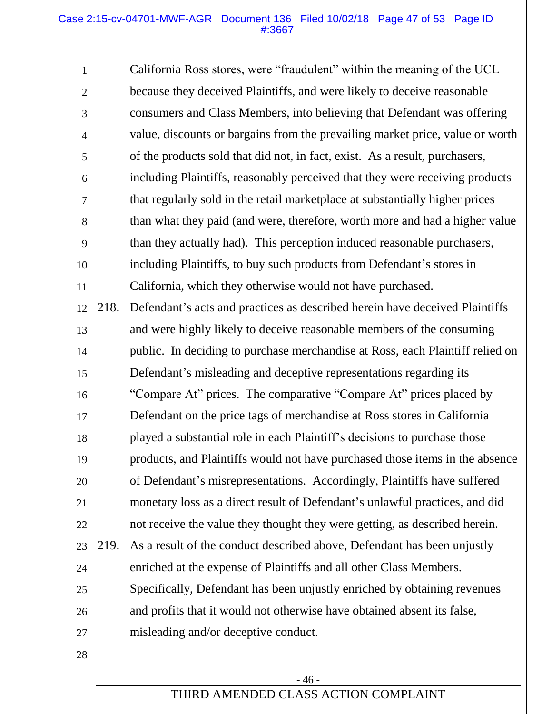#### Case  $2/15$ -cv-04701-MWF-AGR Document 136 Filed 10/02/18 Page 47 of 53 Page ID #:3667

1

2

3

4

5

6

7

8

9

10

11

California Ross stores, were "fraudulent" within the meaning of the UCL because they deceived Plaintiffs, and were likely to deceive reasonable consumers and Class Members, into believing that Defendant was offering value, discounts or bargains from the prevailing market price, value or worth of the products sold that did not, in fact, exist. As a result, purchasers, including Plaintiffs, reasonably perceived that they were receiving products that regularly sold in the retail marketplace at substantially higher prices than what they paid (and were, therefore, worth more and had a higher value than they actually had). This perception induced reasonable purchasers, including Plaintiffs, to buy such products from Defendant's stores in California, which they otherwise would not have purchased. 218. Defendant's acts and practices as described herein have deceived Plaintiffs

12 13 14 15 16 17 18 19 20 21 22 23 24 25 26 27 28 and were highly likely to deceive reasonable members of the consuming public. In deciding to purchase merchandise at Ross, each Plaintiff relied on Defendant's misleading and deceptive representations regarding its "Compare At" prices. The comparative "Compare At" prices placed by Defendant on the price tags of merchandise at Ross stores in California played a substantial role in each Plaintiff's decisions to purchase those products, and Plaintiffs would not have purchased those items in the absence of Defendant's misrepresentations. Accordingly, Plaintiffs have suffered monetary loss as a direct result of Defendant's unlawful practices, and did not receive the value they thought they were getting, as described herein. 219. As a result of the conduct described above, Defendant has been unjustly enriched at the expense of Plaintiffs and all other Class Members. Specifically, Defendant has been unjustly enriched by obtaining revenues and profits that it would not otherwise have obtained absent its false, misleading and/or deceptive conduct.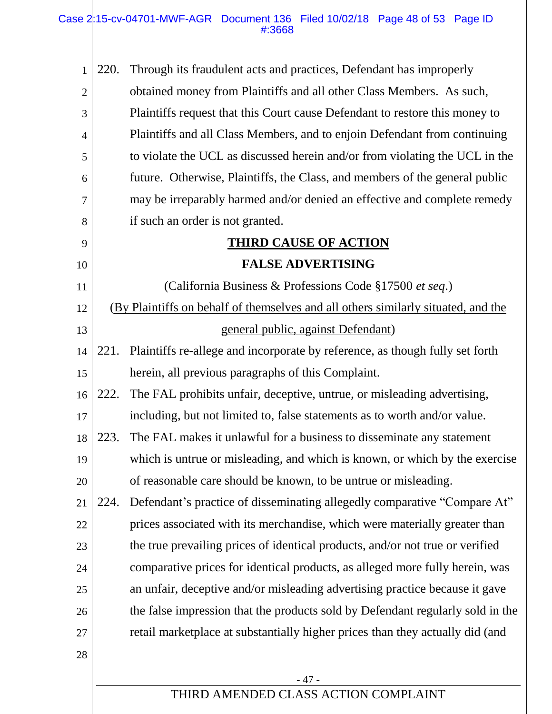Case  $2/15$ -cv-04701-MWF-AGR Document 136 Filed 10/02/18 Page 48 of 53 Page ID #:3668

- 47 - THIRD AMENDED CLASS ACTION COMPLAINT 1 2 3 4 5 6 7 8 9 10 11 12 13 14 15 16 17 18 19 20 21 22 23 24 25 26 27 28 220. Through its fraudulent acts and practices, Defendant has improperly obtained money from Plaintiffs and all other Class Members. As such, Plaintiffs request that this Court cause Defendant to restore this money to Plaintiffs and all Class Members, and to enjoin Defendant from continuing to violate the UCL as discussed herein and/or from violating the UCL in the future. Otherwise, Plaintiffs, the Class, and members of the general public may be irreparably harmed and/or denied an effective and complete remedy if such an order is not granted. **THIRD CAUSE OF ACTION FALSE ADVERTISING** (California Business & Professions Code §17500 *et seq*.) (By Plaintiffs on behalf of themselves and all others similarly situated, and the general public, against Defendant) 221. Plaintiffs re-allege and incorporate by reference, as though fully set forth herein, all previous paragraphs of this Complaint. 222. The FAL prohibits unfair, deceptive, untrue, or misleading advertising, including, but not limited to, false statements as to worth and/or value. 223. The FAL makes it unlawful for a business to disseminate any statement which is untrue or misleading, and which is known, or which by the exercise of reasonable care should be known, to be untrue or misleading. 224. Defendant's practice of disseminating allegedly comparative "Compare At" prices associated with its merchandise, which were materially greater than the true prevailing prices of identical products, and/or not true or verified comparative prices for identical products, as alleged more fully herein, was an unfair, deceptive and/or misleading advertising practice because it gave the false impression that the products sold by Defendant regularly sold in the retail marketplace at substantially higher prices than they actually did (and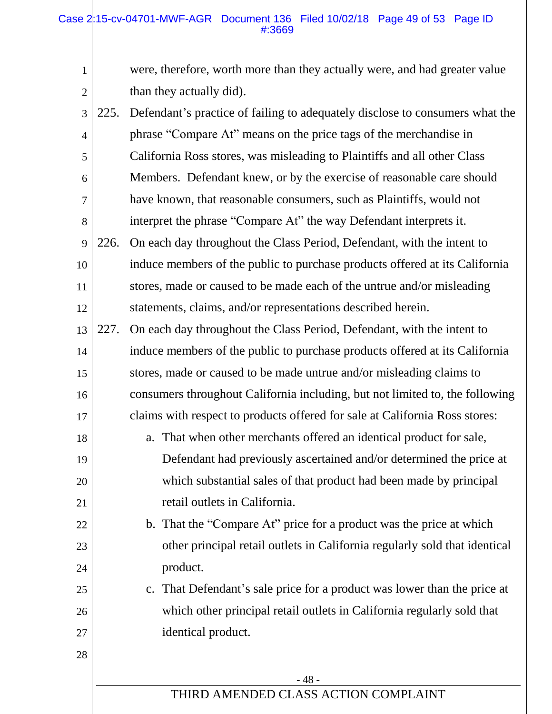1

2

were, therefore, worth more than they actually were, and had greater value than they actually did).

- 48 - THIRD AMENDED CLASS ACTION COMPLAINT 3 4 5 6 7 8 9 10 11 12 13 14 15 16 17 18 19 20 21 22 23 24 25 26 27 28 225. Defendant's practice of failing to adequately disclose to consumers what the phrase "Compare At" means on the price tags of the merchandise in California Ross stores, was misleading to Plaintiffs and all other Class Members. Defendant knew, or by the exercise of reasonable care should have known, that reasonable consumers, such as Plaintiffs, would not interpret the phrase "Compare At" the way Defendant interprets it. 226. On each day throughout the Class Period, Defendant, with the intent to induce members of the public to purchase products offered at its California stores, made or caused to be made each of the untrue and/or misleading statements, claims, and/or representations described herein. 227. On each day throughout the Class Period, Defendant, with the intent to induce members of the public to purchase products offered at its California stores, made or caused to be made untrue and/or misleading claims to consumers throughout California including, but not limited to, the following claims with respect to products offered for sale at California Ross stores: a. That when other merchants offered an identical product for sale, Defendant had previously ascertained and/or determined the price at which substantial sales of that product had been made by principal retail outlets in California. b. That the "Compare At" price for a product was the price at which other principal retail outlets in California regularly sold that identical product. c. That Defendant's sale price for a product was lower than the price at which other principal retail outlets in California regularly sold that identical product.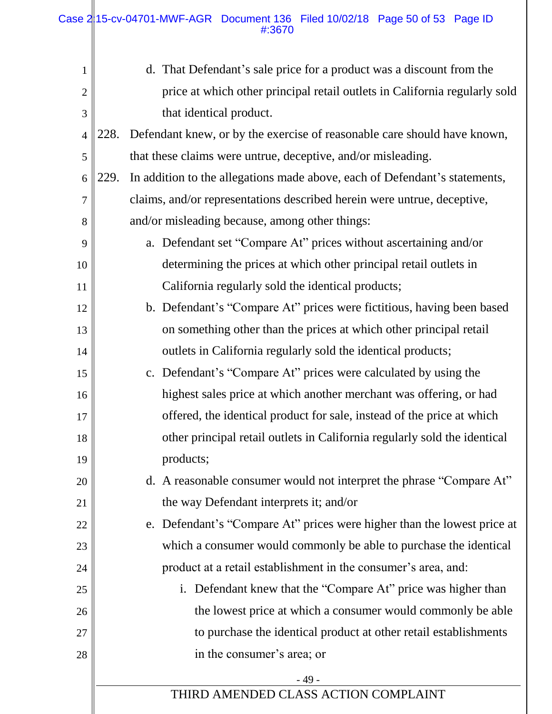| $\mathbf{1}$   | d. That Defendant's sale price for a product was a discount from the               |
|----------------|------------------------------------------------------------------------------------|
| $\mathbf{2}$   | price at which other principal retail outlets in California regularly sold         |
| 3              | that identical product.                                                            |
| $\overline{4}$ | Defendant knew, or by the exercise of reasonable care should have known,<br>228.   |
| 5              | that these claims were untrue, deceptive, and/or misleading.                       |
| 6              | In addition to the allegations made above, each of Defendant's statements,<br>229. |
| 7              | claims, and/or representations described herein were untrue, deceptive,            |
| 8              | and/or misleading because, among other things:                                     |
| 9              | a. Defendant set "Compare At" prices without ascertaining and/or                   |
| 10             | determining the prices at which other principal retail outlets in                  |
| 11             | California regularly sold the identical products;                                  |
| 12             | b. Defendant's "Compare At" prices were fictitious, having been based              |
| 13             | on something other than the prices at which other principal retail                 |
| 14             | outlets in California regularly sold the identical products;                       |
| 15             | c. Defendant's "Compare At" prices were calculated by using the                    |
| 16             | highest sales price at which another merchant was offering, or had                 |
| 17             | offered, the identical product for sale, instead of the price at which             |
| 18             | other principal retail outlets in California regularly sold the identical          |
| 19             | products;                                                                          |
| 20             | d. A reasonable consumer would not interpret the phrase "Compare At"               |
| 21             | the way Defendant interprets it; and/or                                            |
| 22             | e. Defendant's "Compare At" prices were higher than the lowest price at            |
| 23             | which a consumer would commonly be able to purchase the identical                  |
| 24             | product at a retail establishment in the consumer's area, and:                     |
| 25             | Defendant knew that the "Compare At" price was higher than<br>i.                   |
| 26             | the lowest price at which a consumer would commonly be able                        |
| 27             | to purchase the identical product at other retail establishments                   |
| 28             | in the consumer's area; or                                                         |
|                | - 49 -                                                                             |
|                | THIRD AMENDED CLASS ACTION COMPLAINT                                               |
|                |                                                                                    |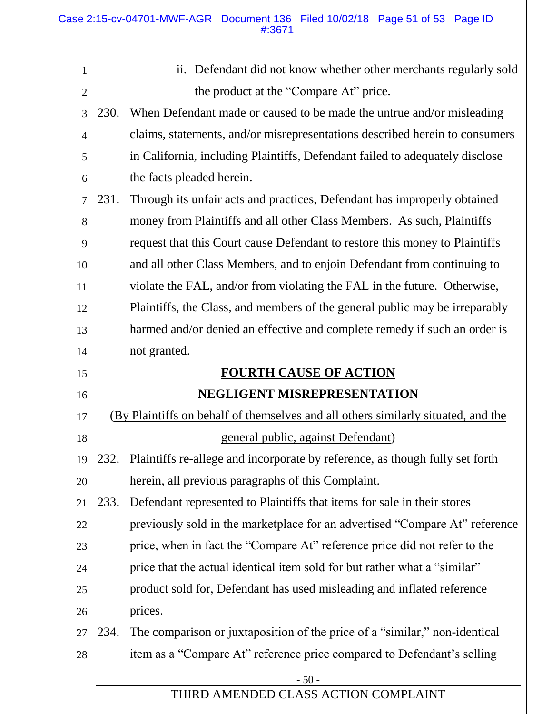Ш

| 1              |             | Defendant did not know whether other merchants regularly sold<br>11.              |
|----------------|-------------|-----------------------------------------------------------------------------------|
| $\overline{2}$ |             | the product at the "Compare At" price.                                            |
| 3              | <b>230.</b> | When Defendant made or caused to be made the untrue and/or misleading             |
| $\overline{4}$ |             | claims, statements, and/or misrepresentations described herein to consumers       |
| 5              |             | in California, including Plaintiffs, Defendant failed to adequately disclose      |
| 6              |             | the facts pleaded herein.                                                         |
| $\overline{7}$ | 231.        | Through its unfair acts and practices, Defendant has improperly obtained          |
| 8              |             | money from Plaintiffs and all other Class Members. As such, Plaintiffs            |
| 9              |             | request that this Court cause Defendant to restore this money to Plaintiffs       |
| 10             |             | and all other Class Members, and to enjoin Defendant from continuing to           |
| 11             |             | violate the FAL, and/or from violating the FAL in the future. Otherwise,          |
| 12             |             | Plaintiffs, the Class, and members of the general public may be irreparably       |
| 13             |             | harmed and/or denied an effective and complete remedy if such an order is         |
| 14             |             | not granted.                                                                      |
| 15             |             | <b>FOURTH CAUSE OF ACTION</b>                                                     |
|                |             |                                                                                   |
| 16             |             | NEGLIGENT MISREPRESENTATION                                                       |
| 17             |             | (By Plaintiffs on behalf of themselves and all others similarly situated, and the |
| 18             |             | general public, against Defendant)                                                |
| 19             |             | 232. Plaintiffs re-allege and incorporate by reference, as though fully set forth |
| 20             |             | herein, all previous paragraphs of this Complaint.                                |
| 21             | 233.        | Defendant represented to Plaintiffs that items for sale in their stores           |
| 22             |             | previously sold in the marketplace for an advertised "Compare At" reference       |
| 23             |             | price, when in fact the "Compare At" reference price did not refer to the         |
| 24             |             | price that the actual identical item sold for but rather what a "similar"         |
| 25             |             | product sold for, Defendant has used misleading and inflated reference            |
| 26             |             | prices.                                                                           |
| 27             | 234.        | The comparison or juxtaposition of the price of a "similar," non-identical        |
| 28             |             | item as a "Compare At" reference price compared to Defendant's selling            |
|                |             | $-50-$<br>THIRD AMENDED CLASS ACTION COMPLAINT                                    |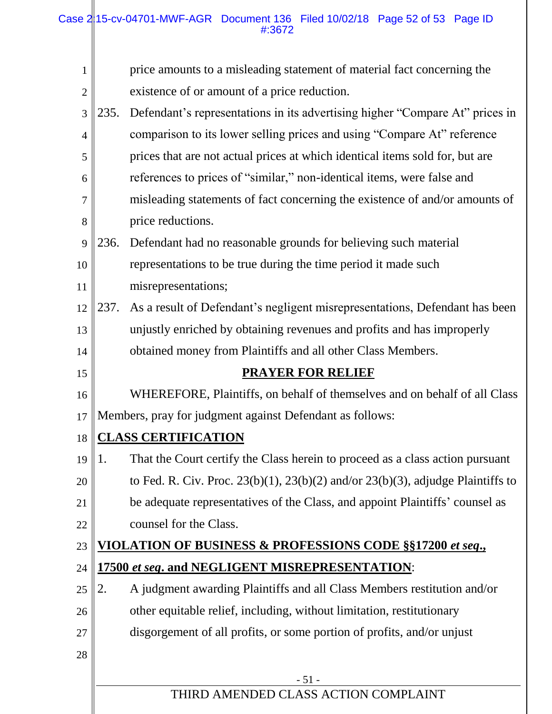| 1  |      | price amounts to a misleading statement of material fact concerning the                 |
|----|------|-----------------------------------------------------------------------------------------|
| 2  |      | existence of or amount of a price reduction.                                            |
| 3  | 235. | Defendant's representations in its advertising higher "Compare At" prices in            |
| 4  |      | comparison to its lower selling prices and using "Compare At" reference                 |
| 5  |      | prices that are not actual prices at which identical items sold for, but are            |
| 6  |      | references to prices of "similar," non-identical items, were false and                  |
| 7  |      | misleading statements of fact concerning the existence of and/or amounts of             |
| 8  |      | price reductions.                                                                       |
| 9  | 236. | Defendant had no reasonable grounds for believing such material                         |
| 10 |      | representations to be true during the time period it made such                          |
| 11 |      | misrepresentations;                                                                     |
| 12 | 237. | As a result of Defendant's negligent misrepresentations, Defendant has been             |
| 13 |      | unjustly enriched by obtaining revenues and profits and has improperly                  |
| 14 |      | obtained money from Plaintiffs and all other Class Members.                             |
| 15 |      | <b>PRAYER FOR RELIEF</b>                                                                |
| 16 |      | WHEREFORE, Plaintiffs, on behalf of themselves and on behalf of all Class               |
| 17 |      | Members, pray for judgment against Defendant as follows:                                |
| 18 |      | <b>CLASS CERTIFICATION</b>                                                              |
| 19 | 1.   | That the Court certify the Class herein to proceed as a class action pursuant           |
| 20 |      | to Fed. R. Civ. Proc. $23(b)(1)$ , $23(b)(2)$ and/or $23(b)(3)$ , adjudge Plaintiffs to |
| 21 |      | be adequate representatives of the Class, and appoint Plaintiffs' counsel as            |
| 22 |      | counsel for the Class.                                                                  |
| 23 |      | VIOLATION OF BUSINESS & PROFESSIONS CODE §§17200 et seq.,                               |
| 24 |      | 17500 et seq. and NEGLIGENT MISREPRESENTATION:                                          |
| 25 | 2.   | A judgment awarding Plaintiffs and all Class Members restitution and/or                 |
| 26 |      | other equitable relief, including, without limitation, restitutionary                   |
| 27 |      | disgorgement of all profits, or some portion of profits, and/or unjust                  |
| 28 |      |                                                                                         |
|    |      | $-51-$                                                                                  |
|    |      | THIRD AMENDED CLASS ACTION COMPLAINT                                                    |
|    |      |                                                                                         |